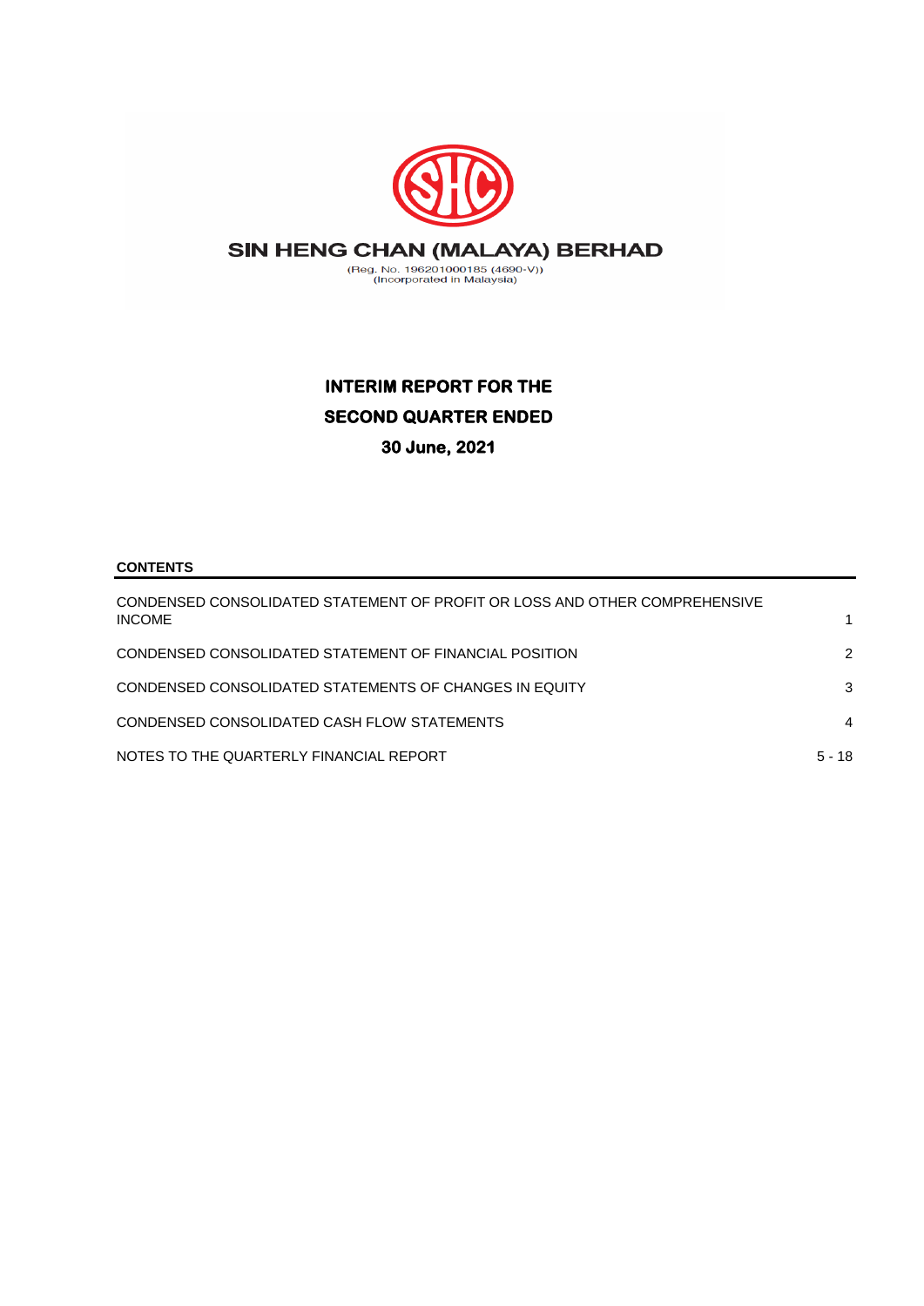

# **INTERIM REPORT FOR THE SECOND QUARTER ENDED 30 June, 2021**

## **CONTENTS**

| CONDENSED CONSOLIDATED STATEMENT OF PROFIT OR LOSS AND OTHER COMPREHENSIVE<br><b>INCOME</b> |          |
|---------------------------------------------------------------------------------------------|----------|
| CONDENSED CONSOLIDATED STATEMENT OF FINANCIAL POSITION                                      | 2        |
| CONDENSED CONSOLIDATED STATEMENTS OF CHANGES IN EQUITY                                      | 3        |
| CONDENSED CONSOLIDATED CASH FLOW STATEMENTS                                                 | 4        |
| NOTES TO THE QUARTERLY FINANCIAL REPORT                                                     | $5 - 18$ |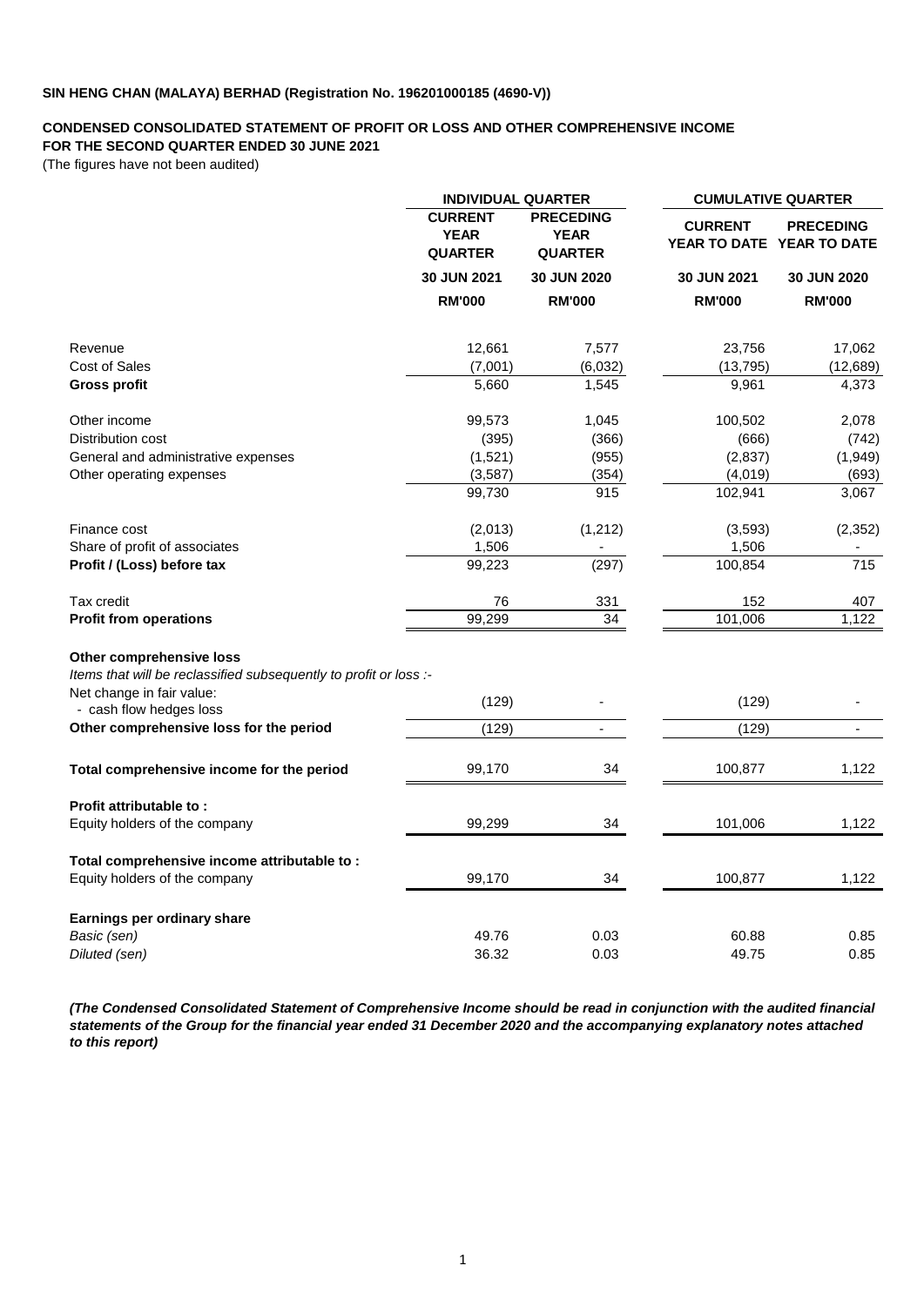#### **CONDENSED CONSOLIDATED STATEMENT OF PROFIT OR LOSS AND OTHER COMPREHENSIVE INCOME FOR THE SECOND QUARTER ENDED 30 JUNE 2021**

(The figures have not been audited)

|                                                                   | <b>INDIVIDUAL QUARTER</b>                       |                                                   | <b>CUMULATIVE QUARTER</b>                   |                          |  |
|-------------------------------------------------------------------|-------------------------------------------------|---------------------------------------------------|---------------------------------------------|--------------------------|--|
|                                                                   | <b>CURRENT</b><br><b>YEAR</b><br><b>QUARTER</b> | <b>PRECEDING</b><br><b>YEAR</b><br><b>QUARTER</b> | <b>CURRENT</b><br>YEAR TO DATE YEAR TO DATE | <b>PRECEDING</b>         |  |
|                                                                   | 30 JUN 2021                                     | 30 JUN 2020                                       | 30 JUN 2021                                 | 30 JUN 2020              |  |
|                                                                   | <b>RM'000</b>                                   | <b>RM'000</b>                                     | <b>RM'000</b>                               | <b>RM'000</b>            |  |
| Revenue                                                           | 12,661                                          | 7,577                                             | 23,756                                      | 17,062                   |  |
| <b>Cost of Sales</b>                                              | (7,001)                                         | (6,032)                                           | (13, 795)                                   | (12, 689)                |  |
| <b>Gross profit</b>                                               | 5,660                                           | 1,545                                             | 9,961                                       | 4,373                    |  |
| Other income                                                      | 99,573                                          | 1,045                                             | 100,502                                     | 2,078                    |  |
| Distribution cost                                                 | (395)                                           | (366)                                             | (666)                                       | (742)                    |  |
| General and administrative expenses                               | (1,521)                                         | (955)                                             | (2,837)                                     | (1,949)                  |  |
| Other operating expenses                                          | (3,587)                                         | (354)                                             | (4,019)                                     | (693)                    |  |
|                                                                   | 99,730                                          | 915                                               | 102,941                                     | 3,067                    |  |
| Finance cost                                                      | (2,013)                                         | (1, 212)                                          | (3,593)                                     | (2, 352)                 |  |
| Share of profit of associates                                     | 1,506                                           | $\overline{\phantom{a}}$                          | 1,506                                       | $\overline{\phantom{m}}$ |  |
| Profit / (Loss) before tax                                        | 99,223                                          | (297)                                             | 100,854                                     | 715                      |  |
| Tax credit                                                        | 76                                              | 331                                               | 152                                         | 407                      |  |
| <b>Profit from operations</b>                                     | 99,299                                          | 34                                                | 101,006                                     | 1,122                    |  |
| Other comprehensive loss                                          |                                                 |                                                   |                                             |                          |  |
| Items that will be reclassified subsequently to profit or loss :- |                                                 |                                                   |                                             |                          |  |
| Net change in fair value:<br>- cash flow hedges loss              | (129)                                           |                                                   | (129)                                       |                          |  |
| Other comprehensive loss for the period                           | (129)                                           | $\blacksquare$                                    | (129)                                       | ÷,                       |  |
|                                                                   |                                                 |                                                   |                                             |                          |  |
| Total comprehensive income for the period                         | 99,170                                          | 34                                                | 100,877                                     | 1,122                    |  |
| Profit attributable to:                                           |                                                 |                                                   |                                             |                          |  |
| Equity holders of the company                                     | 99,299                                          | 34                                                | 101,006                                     | 1,122                    |  |
| Total comprehensive income attributable to:                       |                                                 |                                                   |                                             |                          |  |
| Equity holders of the company                                     | 99,170                                          | 34                                                | 100,877                                     | 1,122                    |  |
| Earnings per ordinary share                                       |                                                 |                                                   |                                             |                          |  |
| Basic (sen)                                                       | 49.76                                           | 0.03                                              | 60.88                                       | 0.85                     |  |
| Diluted (sen)                                                     | 36.32                                           | 0.03                                              | 49.75                                       | 0.85                     |  |
|                                                                   |                                                 |                                                   |                                             |                          |  |

*(The Condensed Consolidated Statement of Comprehensive Income should be read in conjunction with the audited financial statements of the Group for the financial year ended 31 December 2020 and the accompanying explanatory notes attached to this report)*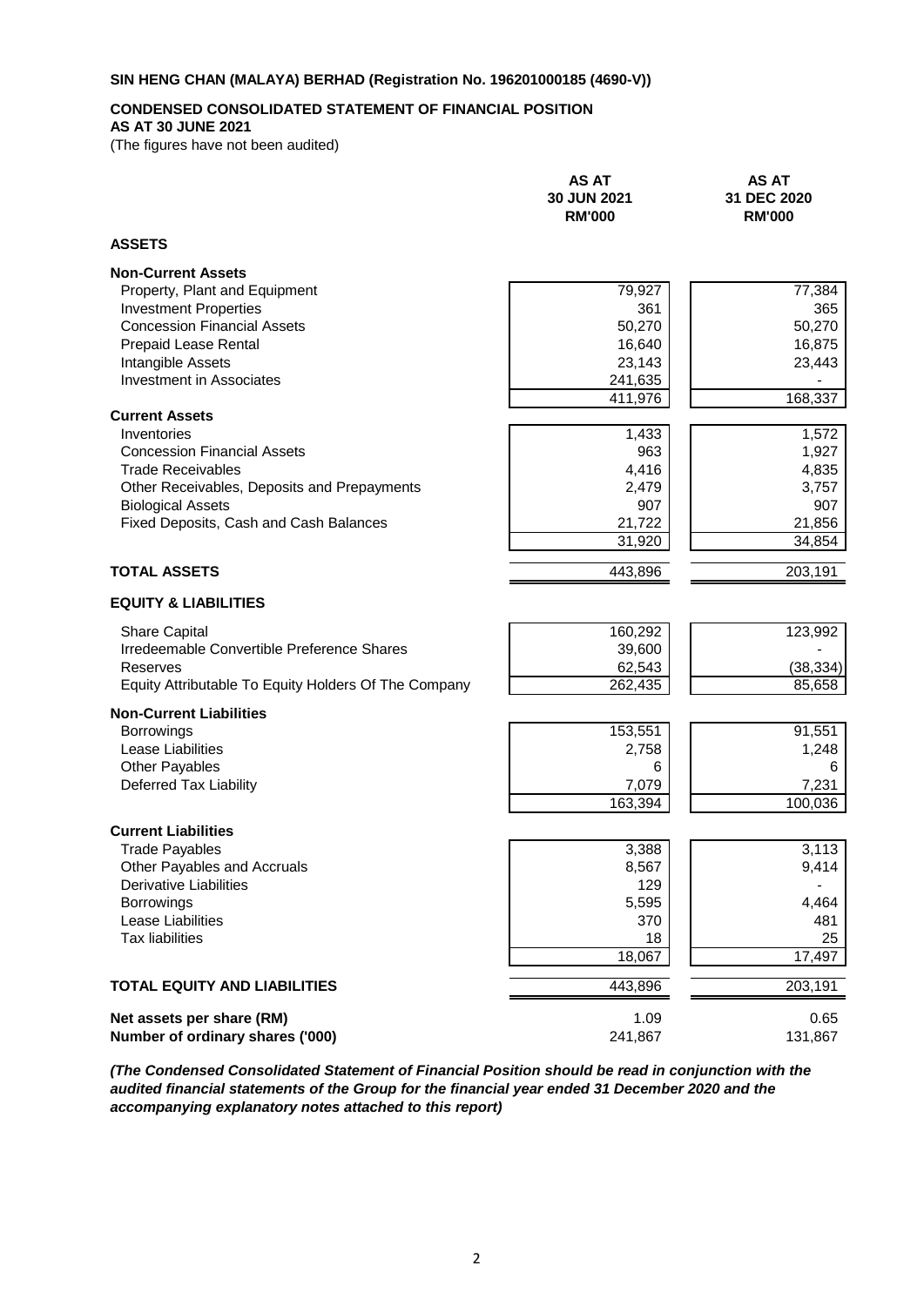## **CONDENSED CONSOLIDATED STATEMENT OF FINANCIAL POSITION**

## **AS AT 30 JUNE 2021**

(The figures have not been audited)

|                                                      | <b>AS AT</b><br>30 JUN 2021<br><b>RM'000</b> | <b>AS AT</b><br>31 DEC 2020<br><b>RM'000</b> |
|------------------------------------------------------|----------------------------------------------|----------------------------------------------|
| <b>ASSETS</b>                                        |                                              |                                              |
| <b>Non-Current Assets</b>                            |                                              |                                              |
| Property, Plant and Equipment                        | 79,927                                       | 77,384                                       |
| <b>Investment Properties</b>                         | 361                                          | 365                                          |
| <b>Concession Financial Assets</b>                   | 50,270                                       | 50,270                                       |
| Prepaid Lease Rental                                 | 16,640                                       | 16,875                                       |
| Intangible Assets<br><b>Investment in Associates</b> | 23,143                                       | 23,443                                       |
|                                                      | 241,635<br>411,976                           | 168,337                                      |
| <b>Current Assets</b>                                |                                              |                                              |
| Inventories                                          | 1,433                                        | 1,572                                        |
| <b>Concession Financial Assets</b>                   | 963                                          | 1,927                                        |
| <b>Trade Receivables</b>                             | 4,416                                        | 4,835                                        |
| Other Receivables, Deposits and Prepayments          | 2,479                                        | 3,757                                        |
| <b>Biological Assets</b>                             | 907                                          | 907                                          |
| Fixed Deposits, Cash and Cash Balances               | 21,722                                       | 21,856                                       |
|                                                      | 31,920                                       | 34,854                                       |
| <b>TOTAL ASSETS</b>                                  | 443,896                                      | 203,191                                      |
| <b>EQUITY &amp; LIABILITIES</b>                      |                                              |                                              |
| <b>Share Capital</b>                                 | 160,292                                      | 123,992                                      |
| Irredeemable Convertible Preference Shares           | 39,600                                       |                                              |
| Reserves                                             | 62,543                                       | (38, 334)                                    |
| Equity Attributable To Equity Holders Of The Company | 262,435                                      | 85,658                                       |
| <b>Non-Current Liabilities</b>                       |                                              |                                              |
| <b>Borrowings</b>                                    | 153,551                                      | 91,551                                       |
| Lease Liabilities                                    | 2,758                                        | 1,248                                        |
| Other Payables                                       | 6                                            | 6                                            |
| Deferred Tax Liability                               | 7,079                                        | 7,231                                        |
|                                                      | 163,394                                      | 100,036                                      |
| <b>Current Liabilities</b>                           |                                              |                                              |
| <b>Trade Payables</b>                                | 3,388                                        | 3,113                                        |
| Other Payables and Accruals                          | 8,567                                        | 9,414                                        |
| <b>Derivative Liabilities</b>                        | 129                                          |                                              |
| <b>Borrowings</b>                                    | 5,595                                        | 4,464                                        |
| Lease Liabilities                                    | 370                                          | 481                                          |
| <b>Tax liabilities</b>                               | 18                                           | 25                                           |
|                                                      | 18,067                                       | 17,497                                       |
| <b>TOTAL EQUITY AND LIABILITIES</b>                  | 443,896                                      | 203,191                                      |
| Net assets per share (RM)                            | 1.09                                         | 0.65                                         |
| Number of ordinary shares ('000)                     | 241,867                                      | 131,867                                      |
|                                                      |                                              |                                              |

*(The Condensed Consolidated Statement of Financial Position should be read in conjunction with the audited financial statements of the Group for the financial year ended 31 December 2020 and the accompanying explanatory notes attached to this report)*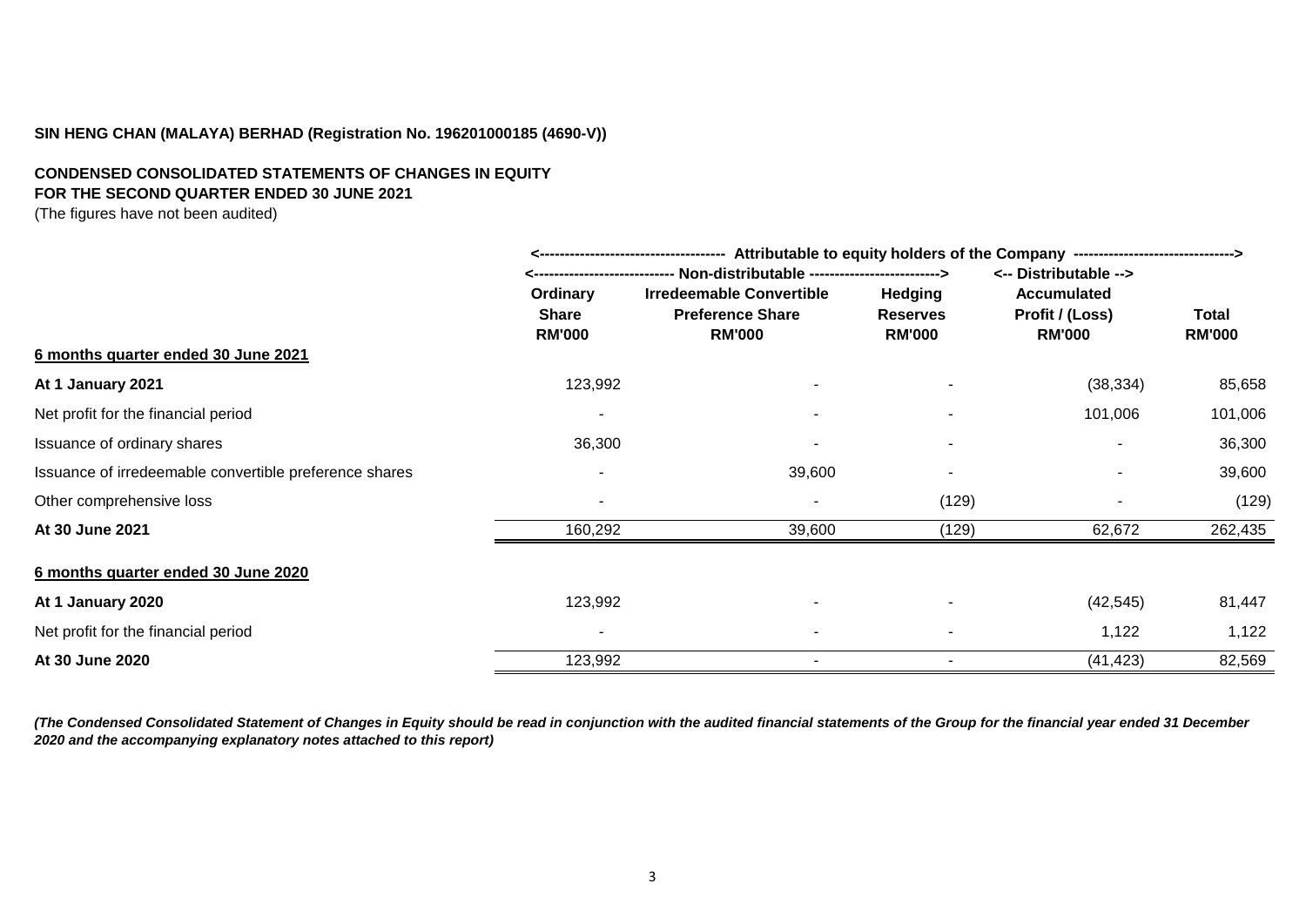## **CONDENSED CONSOLIDATED STATEMENTS OF CHANGES IN EQUITY FOR THE SECOND QUARTER ENDED 30 JUNE 2021**

(The figures have not been audited)

|                                                        | Attributable to equity holders of the Company --------------------------------><br>------------------------------------- |                                          |                                  |                                  |                        |  |
|--------------------------------------------------------|--------------------------------------------------------------------------------------------------------------------------|------------------------------------------|----------------------------------|----------------------------------|------------------------|--|
|                                                        | <----------------------------- Non-distributable ------------------------->                                              |                                          |                                  | <-- Distributable -->            |                        |  |
|                                                        | Ordinary                                                                                                                 | <b>Irredeemable Convertible</b>          | <b>Hedging</b>                   | <b>Accumulated</b>               |                        |  |
|                                                        | Share<br><b>RM'000</b>                                                                                                   | <b>Preference Share</b><br><b>RM'000</b> | <b>Reserves</b><br><b>RM'000</b> | Profit / (Loss)<br><b>RM'000</b> | Total<br><b>RM'000</b> |  |
| 6 months quarter ended 30 June 2021                    |                                                                                                                          |                                          |                                  |                                  |                        |  |
| At 1 January 2021                                      | 123,992                                                                                                                  |                                          |                                  | (38, 334)                        | 85,658                 |  |
| Net profit for the financial period                    | ۰                                                                                                                        |                                          |                                  | 101,006                          | 101,006                |  |
| Issuance of ordinary shares                            | 36,300                                                                                                                   |                                          |                                  |                                  | 36,300                 |  |
| Issuance of irredeemable convertible preference shares | $\overline{\phantom{a}}$                                                                                                 | 39,600                                   |                                  |                                  | 39,600                 |  |
| Other comprehensive loss                               | ۰                                                                                                                        |                                          | (129)                            |                                  | (129)                  |  |
| At 30 June 2021                                        | 160,292                                                                                                                  | 39,600                                   | (129)                            | 62,672                           | 262,435                |  |
| 6 months quarter ended 30 June 2020                    |                                                                                                                          |                                          |                                  |                                  |                        |  |
| At 1 January 2020                                      | 123,992                                                                                                                  |                                          |                                  | (42, 545)                        | 81,447                 |  |
| Net profit for the financial period                    | $\overline{\phantom{a}}$                                                                                                 |                                          |                                  | 1,122                            | 1,122                  |  |
| At 30 June 2020                                        | 123,992                                                                                                                  |                                          |                                  | (41, 423)                        | 82,569                 |  |

*(The Condensed Consolidated Statement of Changes in Equity should be read in conjunction with the audited financial statements of the Group for the financial year ended 31 December 2020 and the accompanying explanatory notes attached to this report)*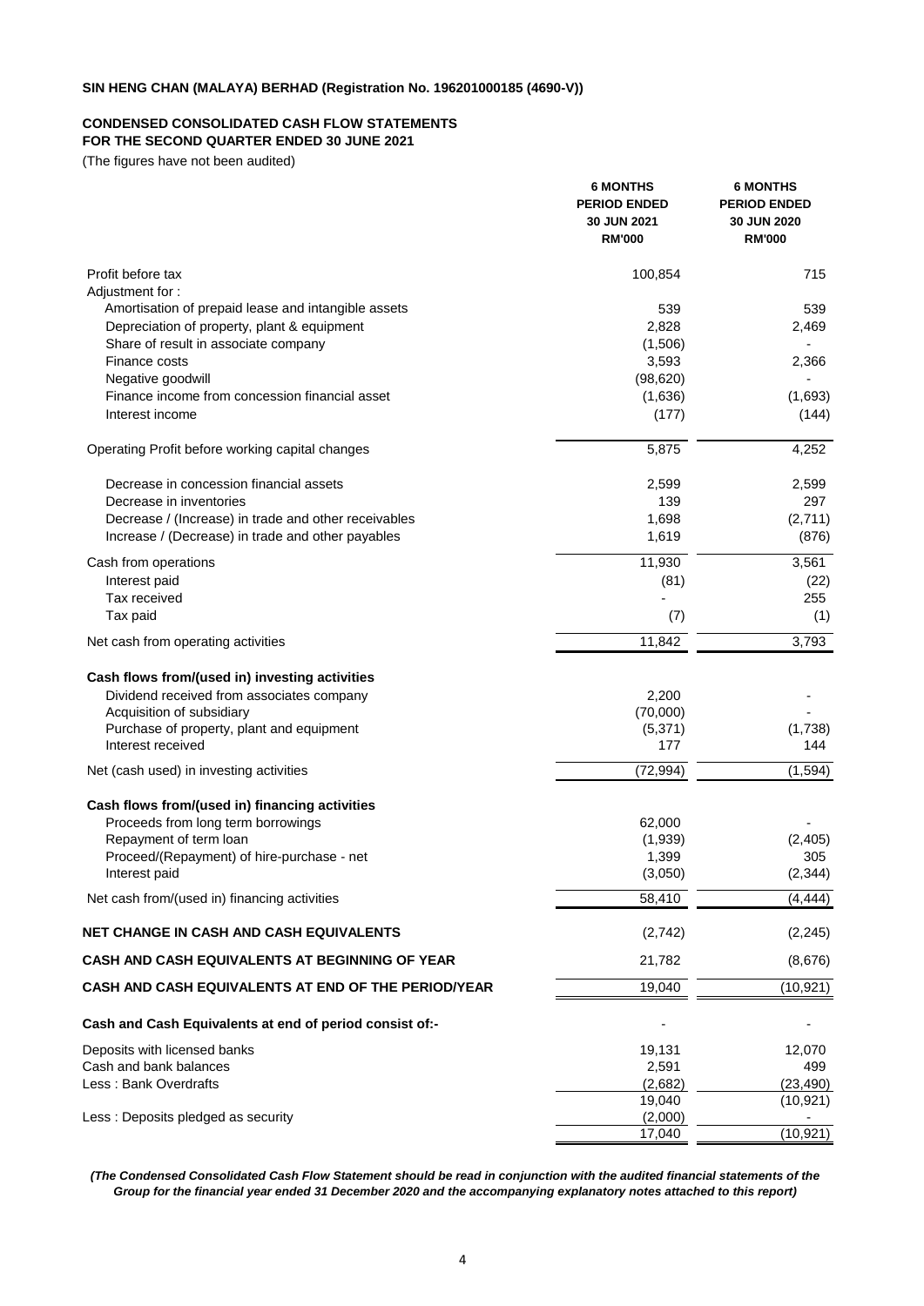#### **CONDENSED CONSOLIDATED CASH FLOW STATEMENTS FOR THE SECOND QUARTER ENDED 30 JUNE 2021**

(The figures have not been audited)

|                                                                     | <b>6 MONTHS</b><br><b>PERIOD ENDED</b><br>30 JUN 2021<br><b>RM'000</b> | <b>6 MONTHS</b><br><b>PERIOD ENDED</b><br>30 JUN 2020<br><b>RM'000</b> |
|---------------------------------------------------------------------|------------------------------------------------------------------------|------------------------------------------------------------------------|
| Profit before tax                                                   | 100,854                                                                | 715                                                                    |
| Adjustment for:                                                     |                                                                        |                                                                        |
| Amortisation of prepaid lease and intangible assets                 | 539                                                                    | 539                                                                    |
| Depreciation of property, plant & equipment                         | 2,828                                                                  | 2,469                                                                  |
| Share of result in associate company                                | (1,506)                                                                |                                                                        |
| Finance costs                                                       | 3,593                                                                  | 2,366                                                                  |
| Negative goodwill<br>Finance income from concession financial asset | (98, 620)<br>(1,636)                                                   | (1,693)                                                                |
| Interest income                                                     | (177)                                                                  | (144)                                                                  |
| Operating Profit before working capital changes                     | 5,875                                                                  | 4,252                                                                  |
| Decrease in concession financial assets                             | 2,599                                                                  | 2,599                                                                  |
| Decrease in inventories                                             | 139                                                                    | 297                                                                    |
| Decrease / (Increase) in trade and other receivables                | 1,698                                                                  | (2,711)                                                                |
| Increase / (Decrease) in trade and other payables                   | 1,619                                                                  | (876)                                                                  |
| Cash from operations                                                | 11,930                                                                 | 3,561                                                                  |
| Interest paid                                                       | (81)                                                                   | (22)                                                                   |
| Tax received                                                        |                                                                        | 255                                                                    |
| Tax paid                                                            | (7)                                                                    | (1)                                                                    |
| Net cash from operating activities                                  | 11,842                                                                 | 3,793                                                                  |
| Cash flows from/(used in) investing activities                      |                                                                        |                                                                        |
| Dividend received from associates company                           | 2,200                                                                  |                                                                        |
| Acquisition of subsidiary                                           | (70,000)                                                               |                                                                        |
| Purchase of property, plant and equipment<br>Interest received      | (5,371)<br>177                                                         | (1,738)<br>144                                                         |
| Net (cash used) in investing activities                             | (72, 994)                                                              | (1, 594)                                                               |
| Cash flows from/(used in) financing activities                      |                                                                        |                                                                        |
| Proceeds from long term borrowings                                  | 62,000                                                                 |                                                                        |
| Repayment of term loan                                              | (1,939)                                                                | (2, 405)                                                               |
| Proceed/(Repayment) of hire-purchase - net                          | 1,399                                                                  | 305                                                                    |
| Interest paid                                                       | (3,050)                                                                | (2, 344)                                                               |
| Net cash from/(used in) financing activities                        | 58,410                                                                 | (4, 444)                                                               |
| <b>NET CHANGE IN CASH AND CASH EQUIVALENTS</b>                      | (2,742)                                                                | (2, 245)                                                               |
| <b>CASH AND CASH EQUIVALENTS AT BEGINNING OF YEAR</b>               | 21,782                                                                 | (8,676)                                                                |
| CASH AND CASH EQUIVALENTS AT END OF THE PERIOD/YEAR                 | 19,040                                                                 | (10, 921)                                                              |
| Cash and Cash Equivalents at end of period consist of:-             |                                                                        |                                                                        |
| Deposits with licensed banks                                        | 19,131                                                                 | 12,070                                                                 |
| Cash and bank balances                                              | 2,591                                                                  | 499                                                                    |
| Less : Bank Overdrafts                                              | (2,682)                                                                | (23, 490)                                                              |
|                                                                     | 19,040                                                                 | (10, 921)                                                              |
| Less: Deposits pledged as security                                  | (2,000)<br>17,040                                                      | (10, 921)                                                              |
|                                                                     |                                                                        |                                                                        |

*(The Condensed Consolidated Cash Flow Statement should be read in conjunction with the audited financial statements of the Group for the financial year ended 31 December 2020 and the accompanying explanatory notes attached to this report)*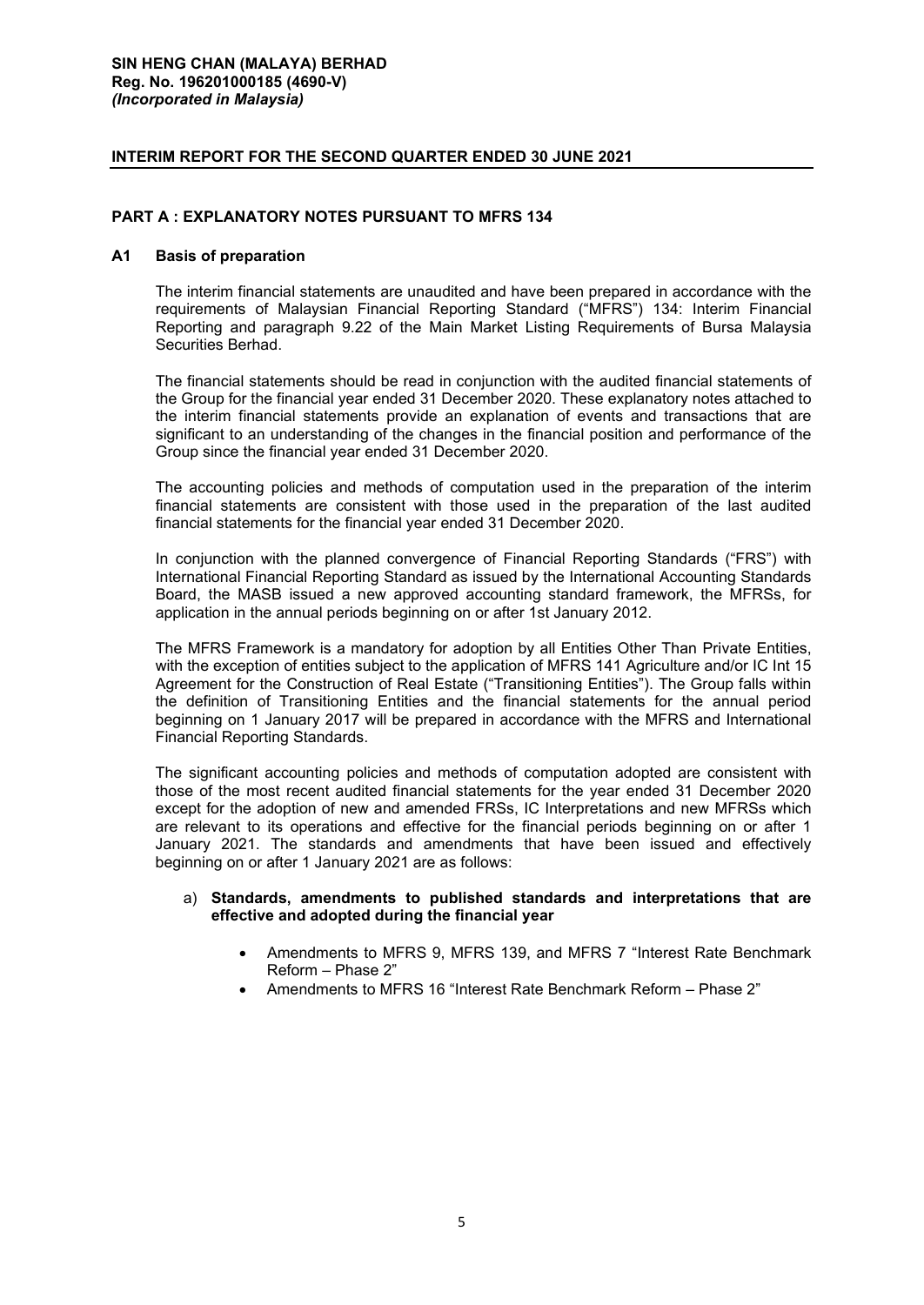## **INTERIM REPORT FOR THE SECOND QUARTER ENDED 30 JUNE 2021**

## **PART A : EXPLANATORY NOTES PURSUANT TO MFRS 134**

## **A1 Basis of preparation**

The interim financial statements are unaudited and have been prepared in accordance with the requirements of Malaysian Financial Reporting Standard ("MFRS") 134: Interim Financial Reporting and paragraph 9.22 of the Main Market Listing Requirements of Bursa Malaysia Securities Berhad.

The financial statements should be read in conjunction with the audited financial statements of the Group for the financial year ended 31 December 2020. These explanatory notes attached to the interim financial statements provide an explanation of events and transactions that are significant to an understanding of the changes in the financial position and performance of the Group since the financial year ended 31 December 2020.

The accounting policies and methods of computation used in the preparation of the interim financial statements are consistent with those used in the preparation of the last audited financial statements for the financial year ended 31 December 2020.

In conjunction with the planned convergence of Financial Reporting Standards ("FRS") with International Financial Reporting Standard as issued by the International Accounting Standards Board, the MASB issued a new approved accounting standard framework, the MFRSs, for application in the annual periods beginning on or after 1st January 2012.

The MFRS Framework is a mandatory for adoption by all Entities Other Than Private Entities, with the exception of entities subject to the application of MFRS 141 Agriculture and/or IC Int 15 Agreement for the Construction of Real Estate ("Transitioning Entities"). The Group falls within the definition of Transitioning Entities and the financial statements for the annual period beginning on 1 January 2017 will be prepared in accordance with the MFRS and International Financial Reporting Standards.

The significant accounting policies and methods of computation adopted are consistent with those of the most recent audited financial statements for the year ended 31 December 2020 except for the adoption of new and amended FRSs, IC Interpretations and new MFRSs which are relevant to its operations and effective for the financial periods beginning on or after 1 January 2021. The standards and amendments that have been issued and effectively beginning on or after 1 January 2021 are as follows:

## a) **Standards, amendments to published standards and interpretations that are effective and adopted during the financial year**

- Amendments to MFRS 9, MFRS 139, and MFRS 7 "Interest Rate Benchmark Reform – Phase 2"
- Amendments to MFRS 16 "Interest Rate Benchmark Reform Phase 2"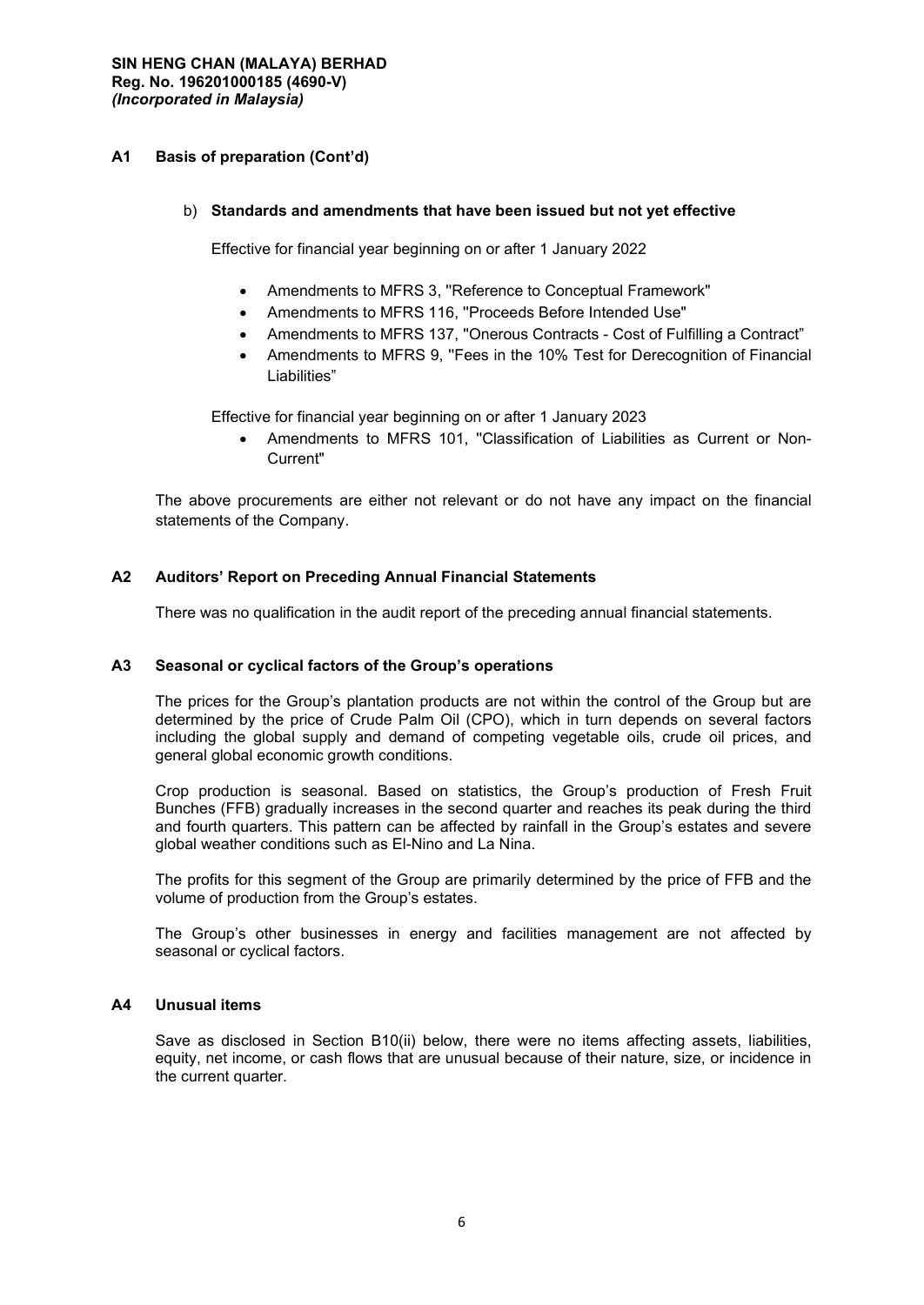## **A1 Basis of preparation (Cont'd)**

#### b) **Standards and amendments that have been issued but not yet effective**

Effective for financial year beginning on or after 1 January 2022

- Amendments to MFRS 3, ''Reference to Conceptual Framework"
- Amendments to MFRS 116, ''Proceeds Before Intended Use"
- Amendments to MFRS 137, ''Onerous Contracts Cost of Fulfilling a Contract"
- Amendments to MFRS 9, "Fees in the 10% Test for Derecognition of Financial Liabilities"

Effective for financial year beginning on or after 1 January 2023

• Amendments to MFRS 101, ''Classification of Liabilities as Current or Non-Current"

The above procurements are either not relevant or do not have any impact on the financial statements of the Company.

## **A2 Auditors' Report on Preceding Annual Financial Statements**

There was no qualification in the audit report of the preceding annual financial statements.

## **A3 Seasonal or cyclical factors of the Group's operations**

The prices for the Group's plantation products are not within the control of the Group but are determined by the price of Crude Palm Oil (CPO), which in turn depends on several factors including the global supply and demand of competing vegetable oils, crude oil prices, and general global economic growth conditions.

Crop production is seasonal. Based on statistics, the Group's production of Fresh Fruit Bunches (FFB) gradually increases in the second quarter and reaches its peak during the third and fourth quarters. This pattern can be affected by rainfall in the Group's estates and severe global weather conditions such as El-Nino and La Nina.

The profits for this segment of the Group are primarily determined by the price of FFB and the volume of production from the Group's estates.

The Group's other businesses in energy and facilities management are not affected by seasonal or cyclical factors.

## **A4 Unusual items**

Save as disclosed in Section B10(ii) below, there were no items affecting assets, liabilities, equity, net income, or cash flows that are unusual because of their nature, size, or incidence in the current quarter.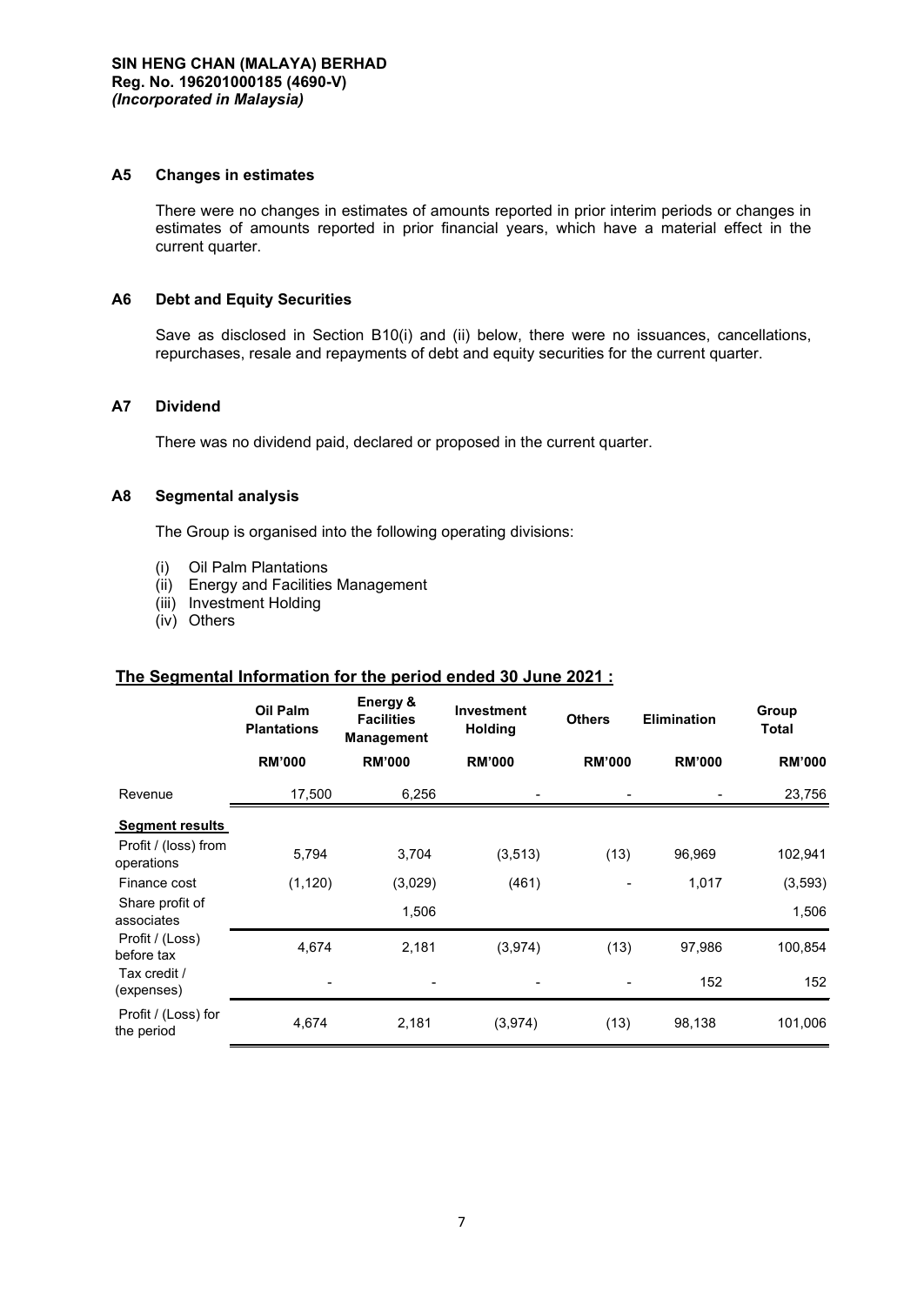#### **A5 Changes in estimates**

There were no changes in estimates of amounts reported in prior interim periods or changes in estimates of amounts reported in prior financial years, which have a material effect in the current quarter.

#### **A6 Debt and Equity Securities**

Save as disclosed in Section B10(i) and (ii) below, there were no issuances, cancellations, repurchases, resale and repayments of debt and equity securities for the current quarter.

## **A7 Dividend**

There was no dividend paid, declared or proposed in the current quarter.

#### **A8 Segmental analysis**

The Group is organised into the following operating divisions:

- (i) Oil Palm Plantations
- (ii) Energy and Facilities Management
- (iii) Investment Holding
- (iv) Others

# **The Segmental Information for the period ended 30 June 2021 :**

|                                    | <b>Oil Palm</b><br><b>Plantations</b> | Energy &<br><b>Facilities</b><br><b>Management</b> | Investment<br><b>Holding</b> | <b>Others</b> | <b>Elimination</b> | Group<br><b>Total</b> |
|------------------------------------|---------------------------------------|----------------------------------------------------|------------------------------|---------------|--------------------|-----------------------|
|                                    | <b>RM'000</b>                         | <b>RM'000</b>                                      | <b>RM'000</b>                | <b>RM'000</b> | <b>RM'000</b>      | <b>RM'000</b>         |
| Revenue                            | 17,500                                | 6,256                                              |                              |               |                    | 23,756                |
| <b>Segment results</b>             |                                       |                                                    |                              |               |                    |                       |
| Profit / (loss) from<br>operations | 5,794                                 | 3,704                                              | (3, 513)                     | (13)          | 96,969             | 102,941               |
| Finance cost                       | (1, 120)                              | (3,029)                                            | (461)                        |               | 1,017              | (3,593)               |
| Share profit of<br>associates      |                                       | 1,506                                              |                              |               |                    | 1,506                 |
| Profit / (Loss)<br>before tax      | 4,674                                 | 2,181                                              | (3, 974)                     | (13)          | 97,986             | 100,854               |
| Tax credit /<br>(expenses)         |                                       |                                                    |                              |               | 152                | 152                   |
| Profit / (Loss) for<br>the period  | 4,674                                 | 2,181                                              | (3,974)                      | (13)          | 98,138             | 101,006               |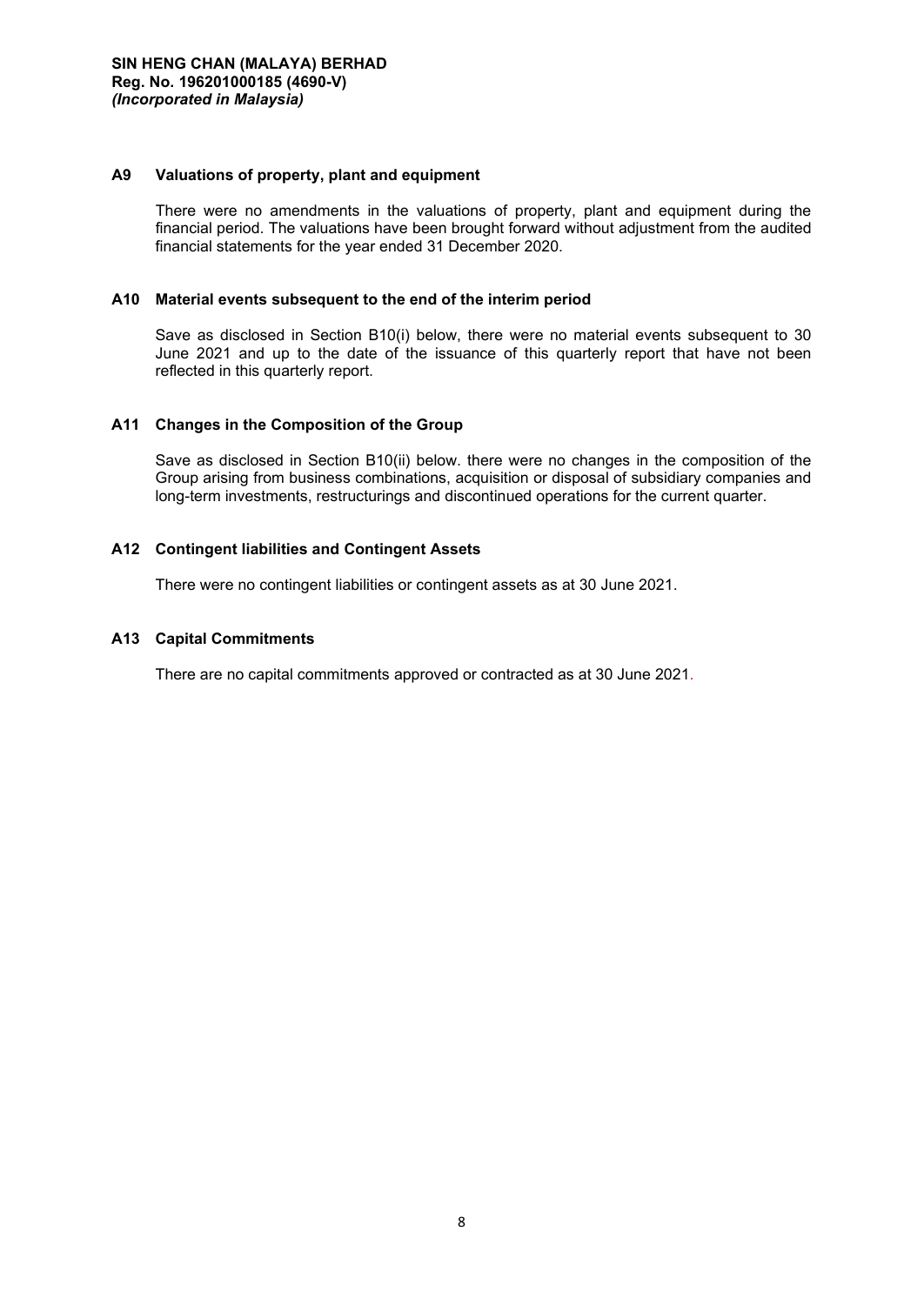## **A9 Valuations of property, plant and equipment**

There were no amendments in the valuations of property, plant and equipment during the financial period. The valuations have been brought forward without adjustment from the audited financial statements for the year ended 31 December 2020.

## **A10 Material events subsequent to the end of the interim period**

Save as disclosed in Section B10(i) below, there were no material events subsequent to 30 June 2021 and up to the date of the issuance of this quarterly report that have not been reflected in this quarterly report.

## **A11 Changes in the Composition of the Group**

Save as disclosed in Section B10(ii) below. there were no changes in the composition of the Group arising from business combinations, acquisition or disposal of subsidiary companies and long-term investments, restructurings and discontinued operations for the current quarter.

## **A12 Contingent liabilities and Contingent Assets**

There were no contingent liabilities or contingent assets as at 30 June 2021.

## **A13 Capital Commitments**

There are no capital commitments approved or contracted as at 30 June 2021.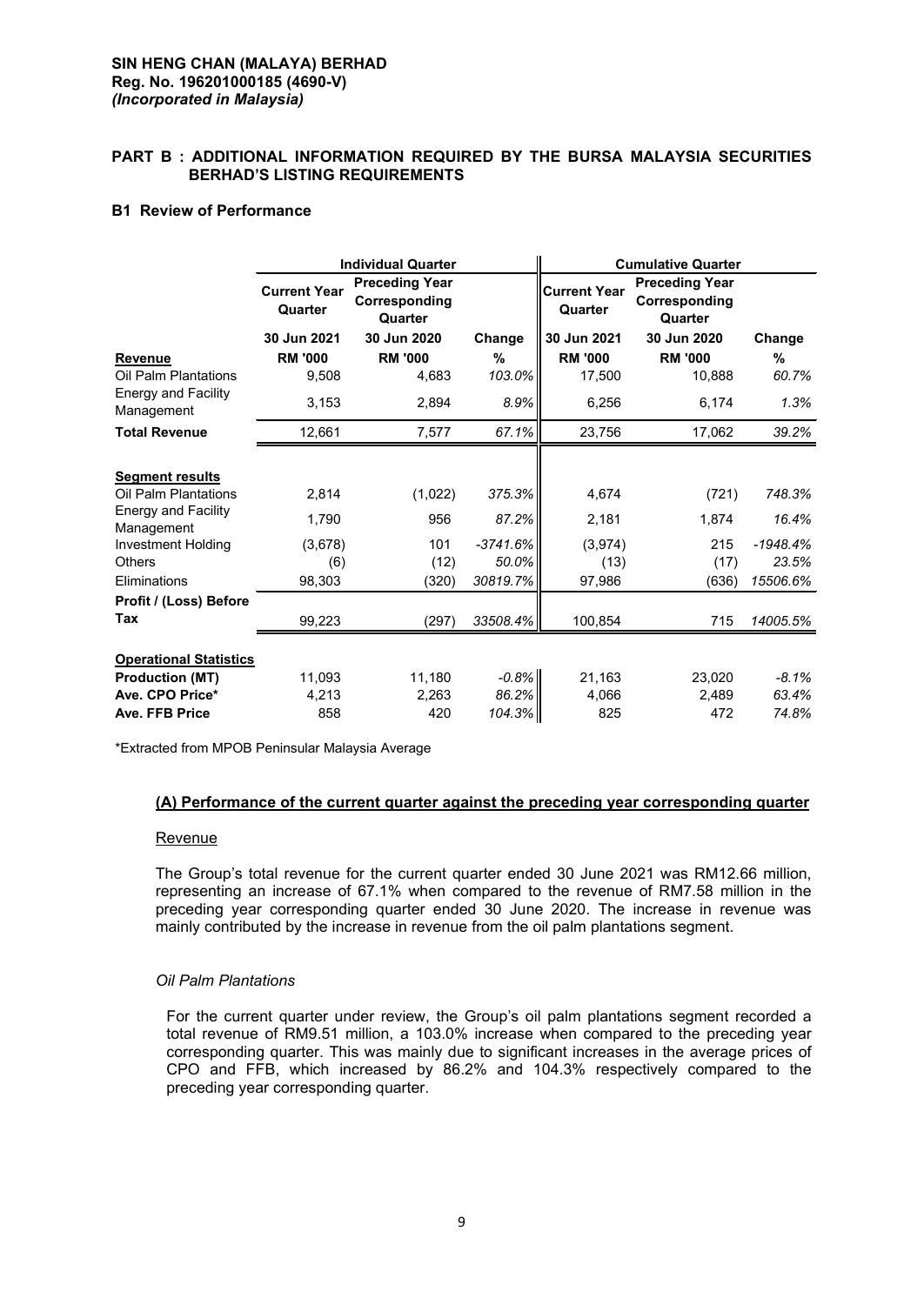## **SIN HENG CHAN (MALAYA) BERHAD Reg. No. 196201000185 (4690-V)** *(Incorporated in Malaysia)*

## **PART B : ADDITIONAL INFORMATION REQUIRED BY THE BURSA MALAYSIA SECURITIES BERHAD'S LISTING REQUIREMENTS**

## **B1 Review of Performance**

|                                          | <b>Individual Quarter</b>      |                                                   |            | <b>Cumulative Quarter</b>      |                                                   |            |  |
|------------------------------------------|--------------------------------|---------------------------------------------------|------------|--------------------------------|---------------------------------------------------|------------|--|
|                                          | <b>Current Year</b><br>Quarter | <b>Preceding Year</b><br>Corresponding<br>Quarter |            | <b>Current Year</b><br>Quarter | <b>Preceding Year</b><br>Corresponding<br>Quarter |            |  |
|                                          | 30 Jun 2021                    | 30 Jun 2020                                       | Change     | 30 Jun 2021                    | 30 Jun 2020                                       | Change     |  |
| <b>Revenue</b>                           | <b>RM '000</b>                 | <b>RM '000</b>                                    | %          | <b>RM '000</b>                 | <b>RM '000</b>                                    | %          |  |
| Oil Palm Plantations                     | 9,508                          | 4,683                                             | 103.0%     | 17,500                         | 10,888                                            | 60.7%      |  |
| <b>Energy and Facility</b><br>Management | 3,153                          | 2,894                                             | 8.9%       | 6,256                          | 6,174                                             | 1.3%       |  |
| <b>Total Revenue</b>                     | 12,661                         | 7,577                                             | 67.1%      | 23,756                         | 17,062                                            | 39.2%      |  |
|                                          |                                |                                                   |            |                                |                                                   |            |  |
| <b>Segment results</b>                   |                                |                                                   |            |                                |                                                   |            |  |
| Oil Palm Plantations                     | 2,814                          | (1,022)                                           | 375.3%     | 4,674                          | (721)                                             | 748.3%     |  |
| <b>Energy and Facility</b><br>Management | 1.790                          | 956                                               | 87.2%      | 2,181                          | 1.874                                             | 16.4%      |  |
| <b>Investment Holding</b>                | (3,678)                        | 101                                               | $-3741.6%$ | (3,974)                        | 215                                               | $-1948.4%$ |  |
| <b>Others</b>                            | (6)                            | (12)                                              | 50.0%      | (13)                           | (17)                                              | 23.5%      |  |
| Eliminations                             | 98,303                         | (320)                                             | 30819.7%   | 97,986                         | (636)                                             | 15506.6%   |  |
| Profit / (Loss) Before                   |                                |                                                   |            |                                |                                                   |            |  |
| Tax                                      | 99,223                         | (297)                                             | 33508.4%   | 100,854                        | 715                                               | 14005.5%   |  |
|                                          |                                |                                                   |            |                                |                                                   |            |  |
| <b>Operational Statistics</b>            |                                |                                                   |            |                                |                                                   |            |  |
| <b>Production (MT)</b>                   | 11,093                         | 11,180                                            | $-0.8%$    | 21,163                         | 23,020                                            | $-8.1\%$   |  |
| Ave. CPO Price*                          | 4,213                          | 2,263                                             | 86.2%      | 4,066                          | 2,489                                             | 63.4%      |  |
| Ave. FFB Price                           | 858                            | 420                                               | 104.3%     | 825                            | 472                                               | 74.8%      |  |

\*Extracted from MPOB Peninsular Malaysia Average

## **(A) Performance of the current quarter against the preceding year corresponding quarter**

#### **Revenue**

The Group's total revenue for the current quarter ended 30 June 2021 was RM12.66 million, representing an increase of 67.1% when compared to the revenue of RM7.58 million in the preceding year corresponding quarter ended 30 June 2020. The increase in revenue was mainly contributed by the increase in revenue from the oil palm plantations segment.

## *Oil Palm Plantations*

For the current quarter under review, the Group's oil palm plantations segment recorded a total revenue of RM9.51 million, a 103.0% increase when compared to the preceding year corresponding quarter. This was mainly due to significant increases in the average prices of CPO and FFB, which increased by 86.2% and 104.3% respectively compared to the preceding year corresponding quarter.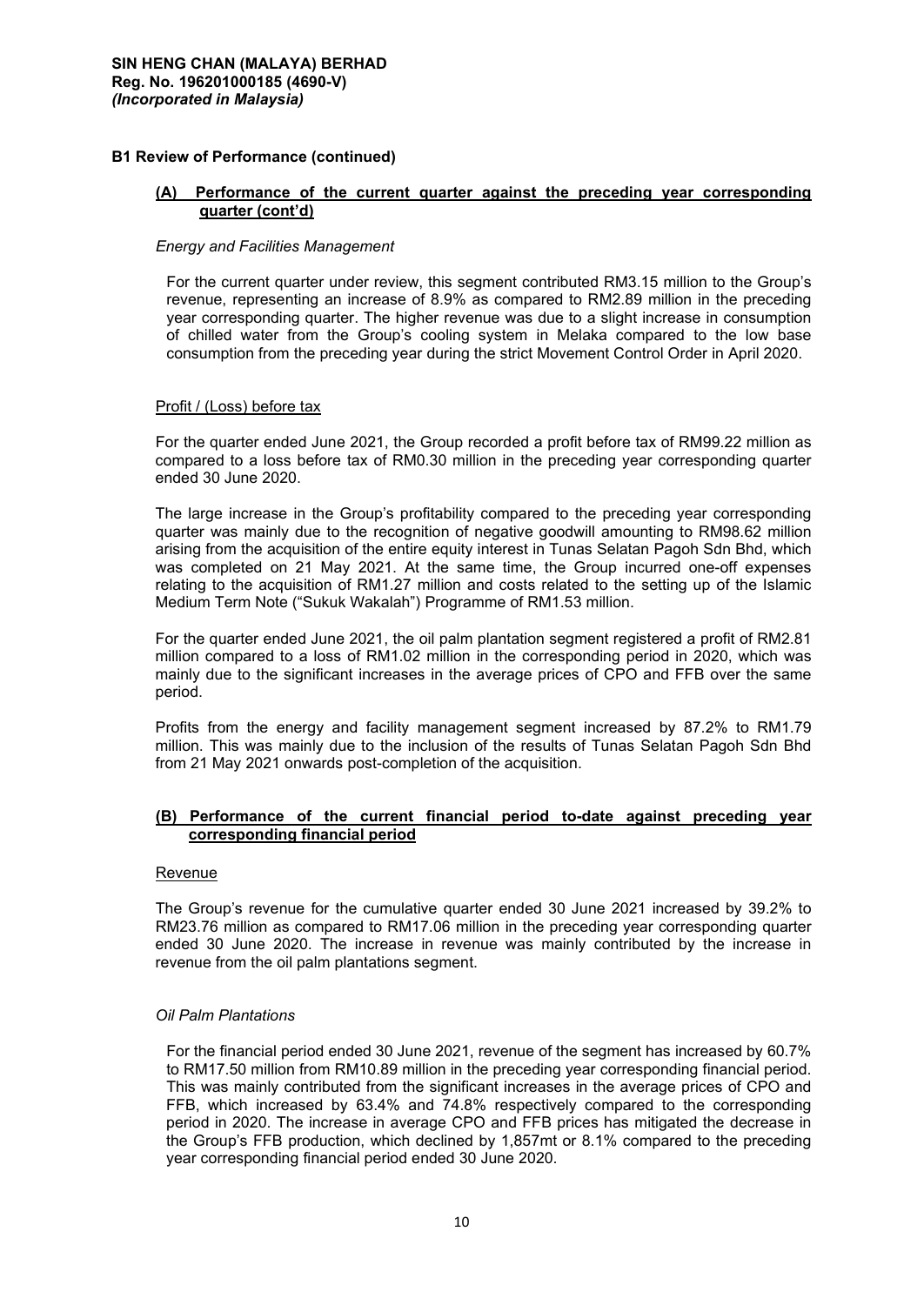## **B1 Review of Performance (continued)**

## **(A) Performance of the current quarter against the preceding year corresponding quarter (cont'd)**

## *Energy and Facilities Management*

For the current quarter under review, this segment contributed RM3.15 million to the Group's revenue, representing an increase of 8.9% as compared to RM2.89 million in the preceding year corresponding quarter. The higher revenue was due to a slight increase in consumption of chilled water from the Group's cooling system in Melaka compared to the low base consumption from the preceding year during the strict Movement Control Order in April 2020.

## Profit / (Loss) before tax

For the quarter ended June 2021, the Group recorded a profit before tax of RM99.22 million as compared to a loss before tax of RM0.30 million in the preceding year corresponding quarter ended 30 June 2020.

The large increase in the Group's profitability compared to the preceding year corresponding quarter was mainly due to the recognition of negative goodwill amounting to RM98.62 million arising from the acquisition of the entire equity interest in Tunas Selatan Pagoh Sdn Bhd, which was completed on 21 May 2021. At the same time, the Group incurred one-off expenses relating to the acquisition of RM1.27 million and costs related to the setting up of the Islamic Medium Term Note ("Sukuk Wakalah") Programme of RM1.53 million.

For the quarter ended June 2021, the oil palm plantation segment registered a profit of RM2.81 million compared to a loss of RM1.02 million in the corresponding period in 2020, which was mainly due to the significant increases in the average prices of CPO and FFB over the same period.

Profits from the energy and facility management segment increased by 87.2% to RM1.79 million. This was mainly due to the inclusion of the results of Tunas Selatan Pagoh Sdn Bhd from 21 May 2021 onwards post-completion of the acquisition.

## **(B) Performance of the current financial period to-date against preceding year corresponding financial period**

## **Revenue**

The Group's revenue for the cumulative quarter ended 30 June 2021 increased by 39.2% to RM23.76 million as compared to RM17.06 million in the preceding year corresponding quarter ended 30 June 2020. The increase in revenue was mainly contributed by the increase in revenue from the oil palm plantations segment.

## *Oil Palm Plantations*

For the financial period ended 30 June 2021, revenue of the segment has increased by 60.7% to RM17.50 million from RM10.89 million in the preceding year corresponding financial period. This was mainly contributed from the significant increases in the average prices of CPO and FFB, which increased by 63.4% and 74.8% respectively compared to the corresponding period in 2020. The increase in average CPO and FFB prices has mitigated the decrease in the Group's FFB production, which declined by 1,857mt or 8.1% compared to the preceding year corresponding financial period ended 30 June 2020.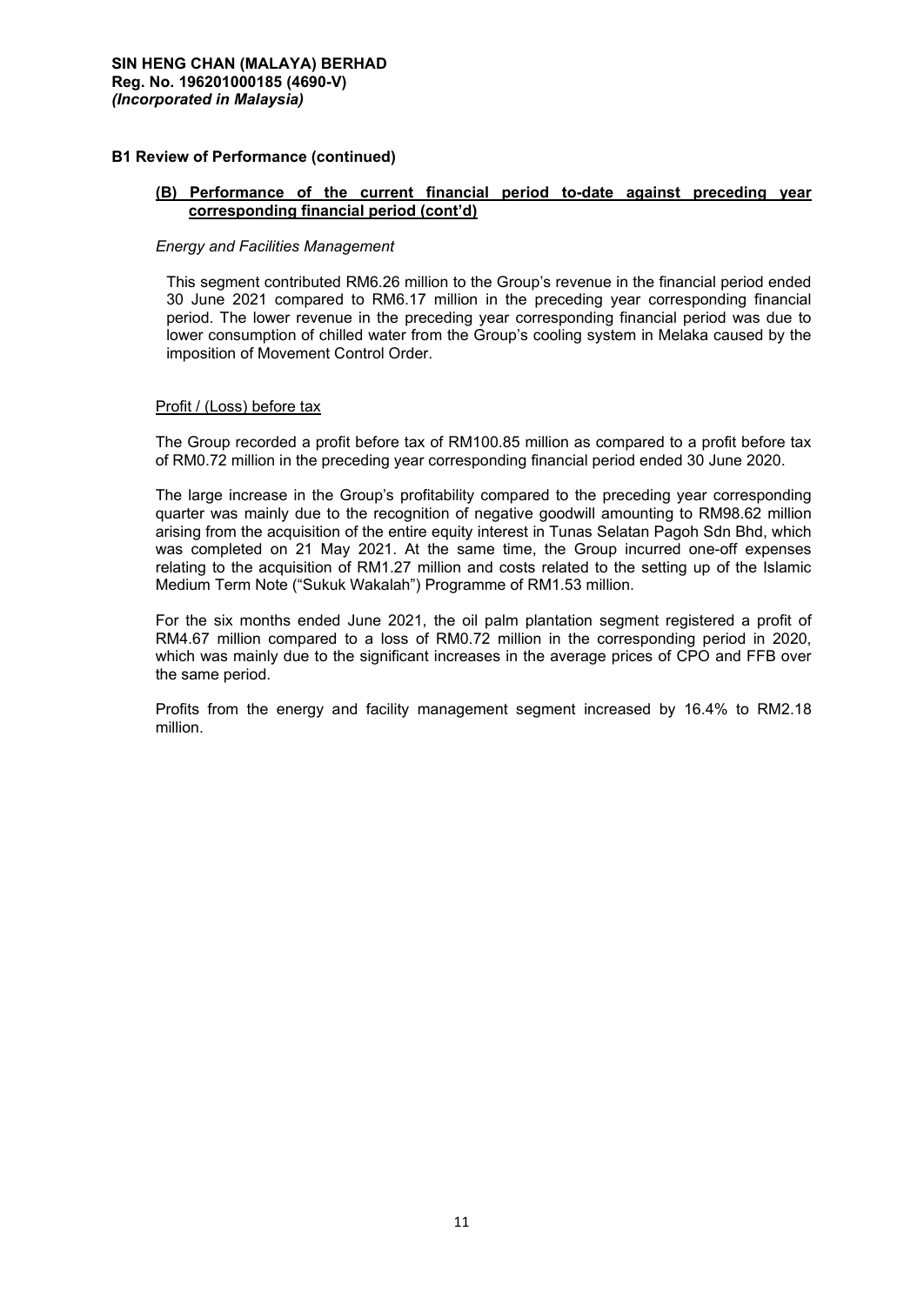## **B1 Review of Performance (continued)**

## **(B) Performance of the current financial period to-date against preceding year corresponding financial period (cont'd)**

## *Energy and Facilities Management*

This segment contributed RM6.26 million to the Group's revenue in the financial period ended 30 June 2021 compared to RM6.17 million in the preceding year corresponding financial period. The lower revenue in the preceding year corresponding financial period was due to lower consumption of chilled water from the Group's cooling system in Melaka caused by the imposition of Movement Control Order.

## Profit / (Loss) before tax

The Group recorded a profit before tax of RM100.85 million as compared to a profit before tax of RM0.72 million in the preceding year corresponding financial period ended 30 June 2020.

The large increase in the Group's profitability compared to the preceding year corresponding quarter was mainly due to the recognition of negative goodwill amounting to RM98.62 million arising from the acquisition of the entire equity interest in Tunas Selatan Pagoh Sdn Bhd, which was completed on 21 May 2021. At the same time, the Group incurred one-off expenses relating to the acquisition of RM1.27 million and costs related to the setting up of the Islamic Medium Term Note ("Sukuk Wakalah") Programme of RM1.53 million.

For the six months ended June 2021, the oil palm plantation segment registered a profit of RM4.67 million compared to a loss of RM0.72 million in the corresponding period in 2020, which was mainly due to the significant increases in the average prices of CPO and FFB over the same period.

Profits from the energy and facility management segment increased by 16.4% to RM2.18 million.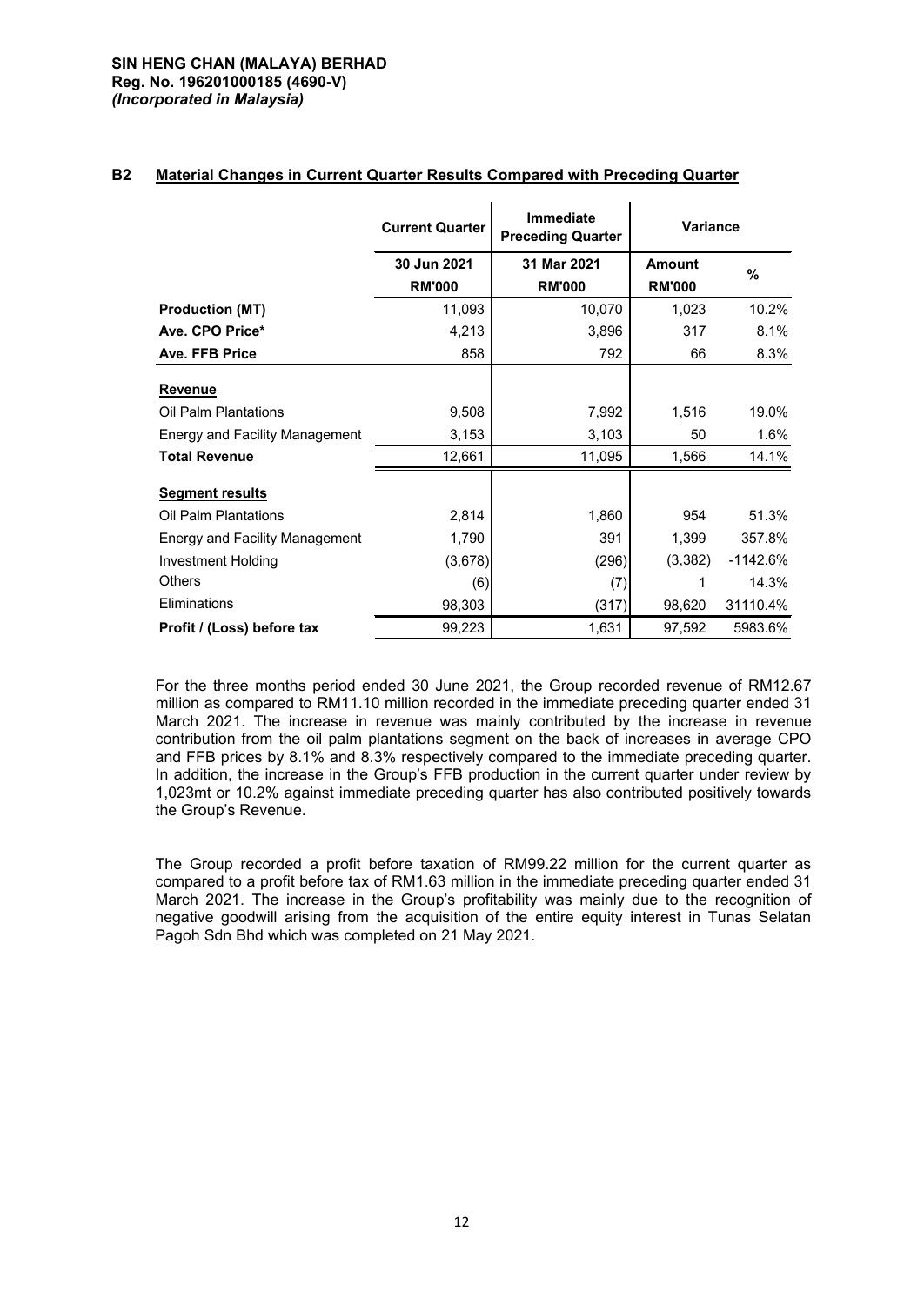## **SIN HENG CHAN (MALAYA) BERHAD Reg. No. 196201000185 (4690-V)** *(Incorporated in Malaysia)*

## **B2 Material Changes in Current Quarter Results Compared with Preceding Quarter**

|                                | <b>Current Quarter</b> | <b>Immediate</b><br><b>Preceding Quarter</b> | <b>Variance</b> |            |
|--------------------------------|------------------------|----------------------------------------------|-----------------|------------|
|                                | 30 Jun 2021            | 31 Mar 2021                                  | <b>Amount</b>   | %          |
|                                | <b>RM'000</b>          | <b>RM'000</b>                                | <b>RM'000</b>   |            |
| <b>Production (MT)</b>         | 11,093                 | 10,070                                       | 1,023           | 10.2%      |
| Ave. CPO Price*                | 4,213                  | 3,896                                        | 317             | 8.1%       |
| Ave. FFB Price                 | 858                    | 792                                          | 66              | 8.3%       |
| Revenue                        |                        |                                              |                 |            |
| Oil Palm Plantations           | 9,508                  | 7,992                                        | 1,516           | 19.0%      |
| Energy and Facility Management | 3,153                  | 3,103                                        | 50              | 1.6%       |
| <b>Total Revenue</b>           | 12,661                 | 11,095                                       | 1,566           | 14.1%      |
| <b>Segment results</b>         |                        |                                              |                 |            |
| Oil Palm Plantations           | 2,814                  | 1,860                                        | 954             | 51.3%      |
| Energy and Facility Management | 1,790                  | 391                                          | 1,399           | 357.8%     |
| Investment Holding             | (3,678)                | (296)                                        | (3, 382)        | $-1142.6%$ |
| <b>Others</b>                  | (6)                    | (7)                                          | 1               | 14.3%      |
| Eliminations                   | 98,303                 | (317)                                        | 98,620          | 31110.4%   |
| Profit / (Loss) before tax     | 99,223                 | 1,631                                        | 97,592          | 5983.6%    |

For the three months period ended 30 June 2021, the Group recorded revenue of RM12.67 million as compared to RM11.10 million recorded in the immediate preceding quarter ended 31 March 2021. The increase in revenue was mainly contributed by the increase in revenue contribution from the oil palm plantations segment on the back of increases in average CPO and FFB prices by 8.1% and 8.3% respectively compared to the immediate preceding quarter. In addition, the increase in the Group's FFB production in the current quarter under review by 1,023mt or 10.2% against immediate preceding quarter has also contributed positively towards the Group's Revenue.

The Group recorded a profit before taxation of RM99.22 million for the current quarter as compared to a profit before tax of RM1.63 million in the immediate preceding quarter ended 31 March 2021. The increase in the Group's profitability was mainly due to the recognition of negative goodwill arising from the acquisition of the entire equity interest in Tunas Selatan Pagoh Sdn Bhd which was completed on 21 May 2021.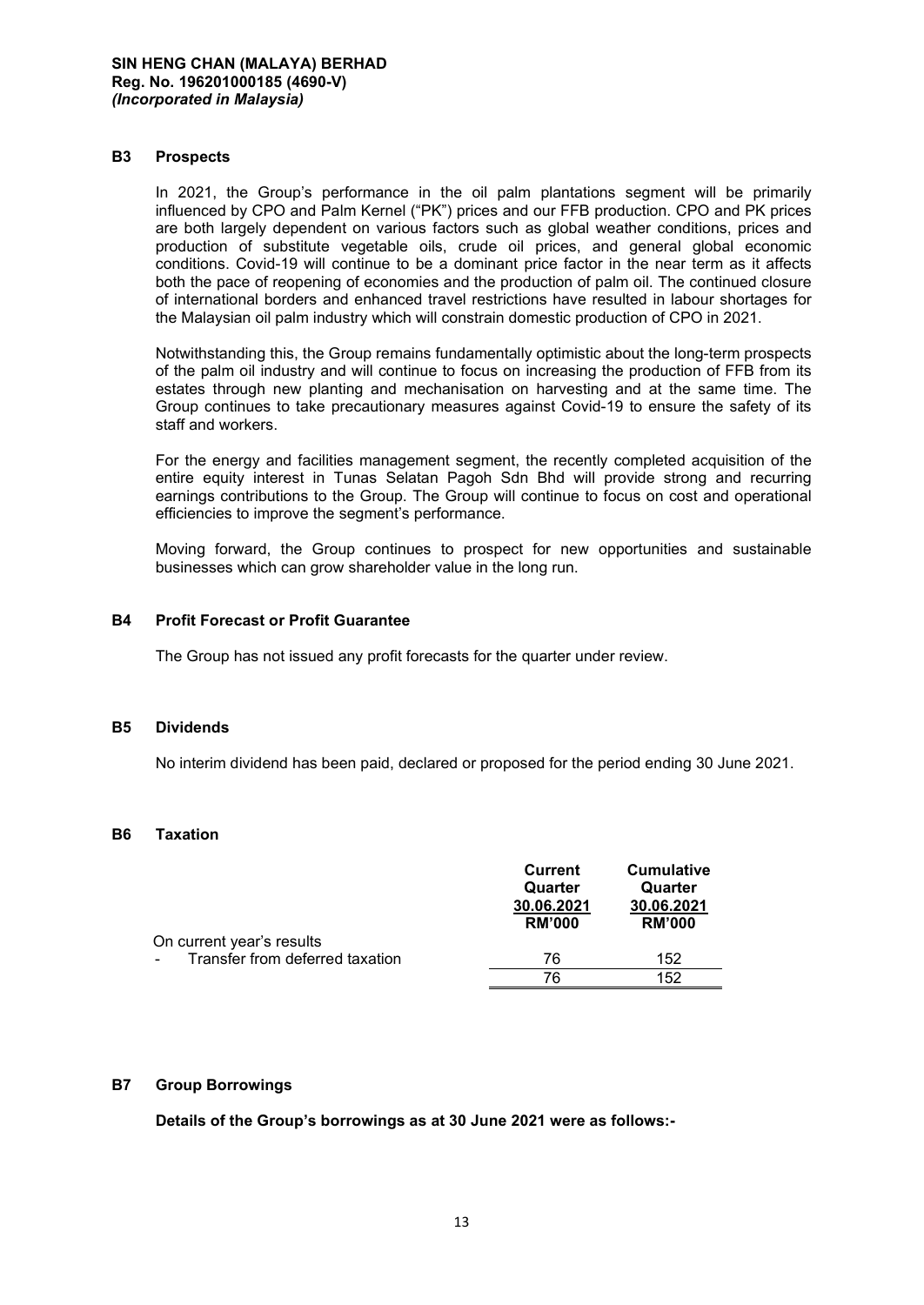#### **B3 Prospects**

In 2021, the Group's performance in the oil palm plantations segment will be primarily influenced by CPO and Palm Kernel ("PK") prices and our FFB production. CPO and PK prices are both largely dependent on various factors such as global weather conditions, prices and production of substitute vegetable oils, crude oil prices, and general global economic conditions. Covid-19 will continue to be a dominant price factor in the near term as it affects both the pace of reopening of economies and the production of palm oil. The continued closure of international borders and enhanced travel restrictions have resulted in labour shortages for the Malaysian oil palm industry which will constrain domestic production of CPO in 2021.

Notwithstanding this, the Group remains fundamentally optimistic about the long-term prospects of the palm oil industry and will continue to focus on increasing the production of FFB from its estates through new planting and mechanisation on harvesting and at the same time. The Group continues to take precautionary measures against Covid-19 to ensure the safety of its staff and workers.

For the energy and facilities management segment, the recently completed acquisition of the entire equity interest in Tunas Selatan Pagoh Sdn Bhd will provide strong and recurring earnings contributions to the Group. The Group will continue to focus on cost and operational efficiencies to improve the segment's performance.

Moving forward, the Group continues to prospect for new opportunities and sustainable businesses which can grow shareholder value in the long run.

## **B4 Profit Forecast or Profit Guarantee**

The Group has not issued any profit forecasts for the quarter under review.

#### **B5 Dividends**

No interim dividend has been paid, declared or proposed for the period ending 30 June 2021.

## **B6 Taxation**

|                                 | Current<br>Quarter<br>30.06.2021<br><b>RM'000</b> | <b>Cumulative</b><br>Quarter<br>30.06.2021<br><b>RM'000</b> |
|---------------------------------|---------------------------------------------------|-------------------------------------------------------------|
| On current year's results       |                                                   |                                                             |
| Transfer from deferred taxation | 76                                                | 152                                                         |
|                                 | 76                                                | 152                                                         |

## **B7 Group Borrowings**

**Details of the Group's borrowings as at 30 June 2021 were as follows:-**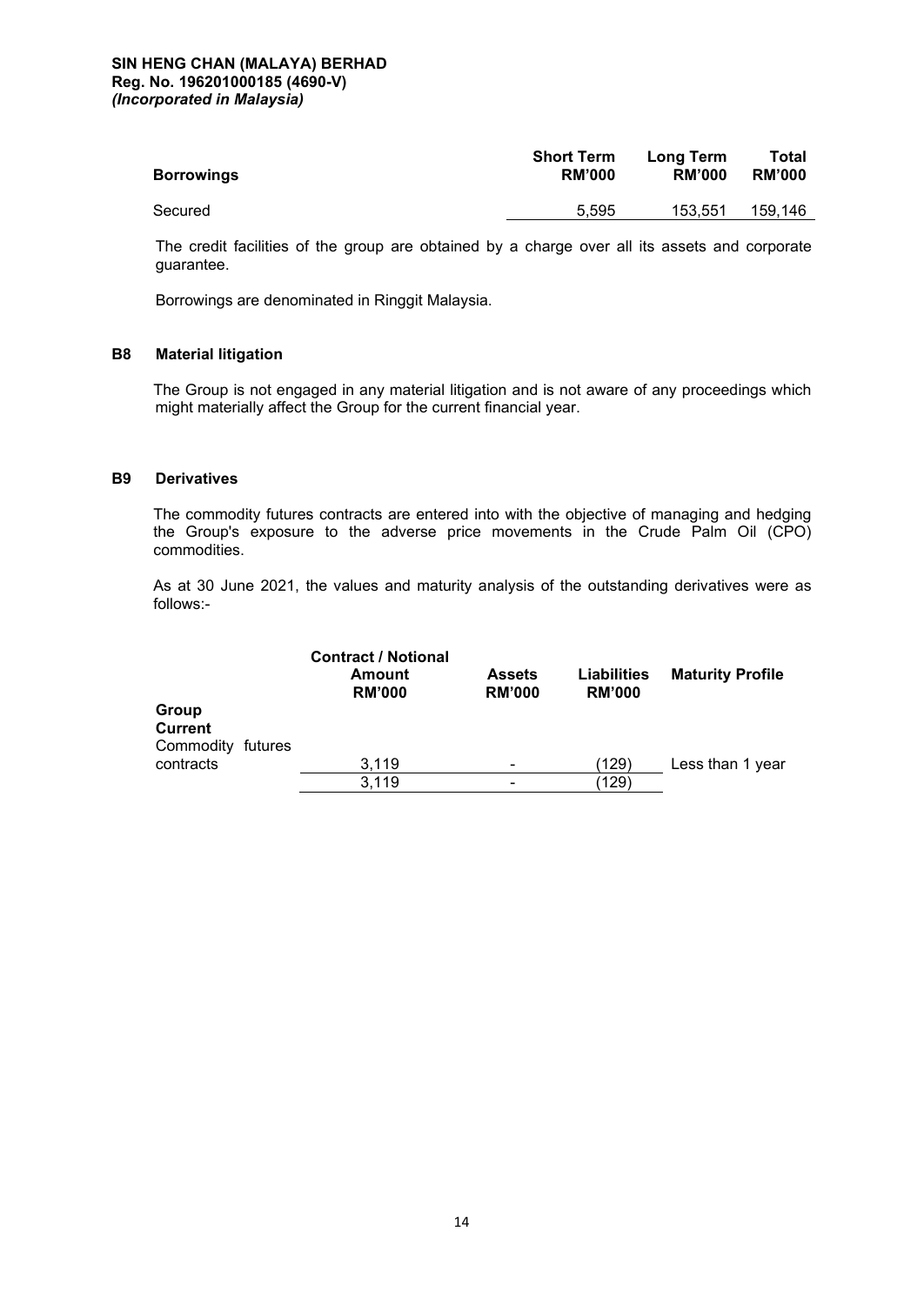#### **SIN HENG CHAN (MALAYA) BERHAD Reg. No. 196201000185 (4690-V)** *(Incorporated in Malaysia)*

| <b>Borrowings</b> | <b>Short Term</b> | Long Term     | Total         |
|-------------------|-------------------|---------------|---------------|
|                   | <b>RM'000</b>     | <b>RM'000</b> | <b>RM'000</b> |
| Secured           | 5.595             | 153.551       | 159.146       |

The credit facilities of the group are obtained by a charge over all its assets and corporate guarantee.

Borrowings are denominated in Ringgit Malaysia.

## **B8 Material litigation**

The Group is not engaged in any material litigation and is not aware of any proceedings which might materially affect the Group for the current financial year.

#### **B9 Derivatives**

The commodity futures contracts are entered into with the objective of managing and hedging the Group's exposure to the adverse price movements in the Crude Palm Oil (CPO) commodities.

As at 30 June 2021, the values and maturity analysis of the outstanding derivatives were as follows:-

|                                              | <b>Contract / Notional</b><br>Amount<br><b>RM'000</b> | <b>Assets</b><br><b>RM'000</b> | Liabilities<br><b>RM'000</b> | <b>Maturity Profile</b> |
|----------------------------------------------|-------------------------------------------------------|--------------------------------|------------------------------|-------------------------|
| Group<br><b>Current</b><br>Commodity futures |                                                       |                                |                              |                         |
| contracts                                    | 3,119                                                 | $\overline{\phantom{a}}$       | (129)                        | Less than 1 year        |
|                                              | 3,119                                                 | ۰                              | (129)                        |                         |
|                                              |                                                       |                                |                              |                         |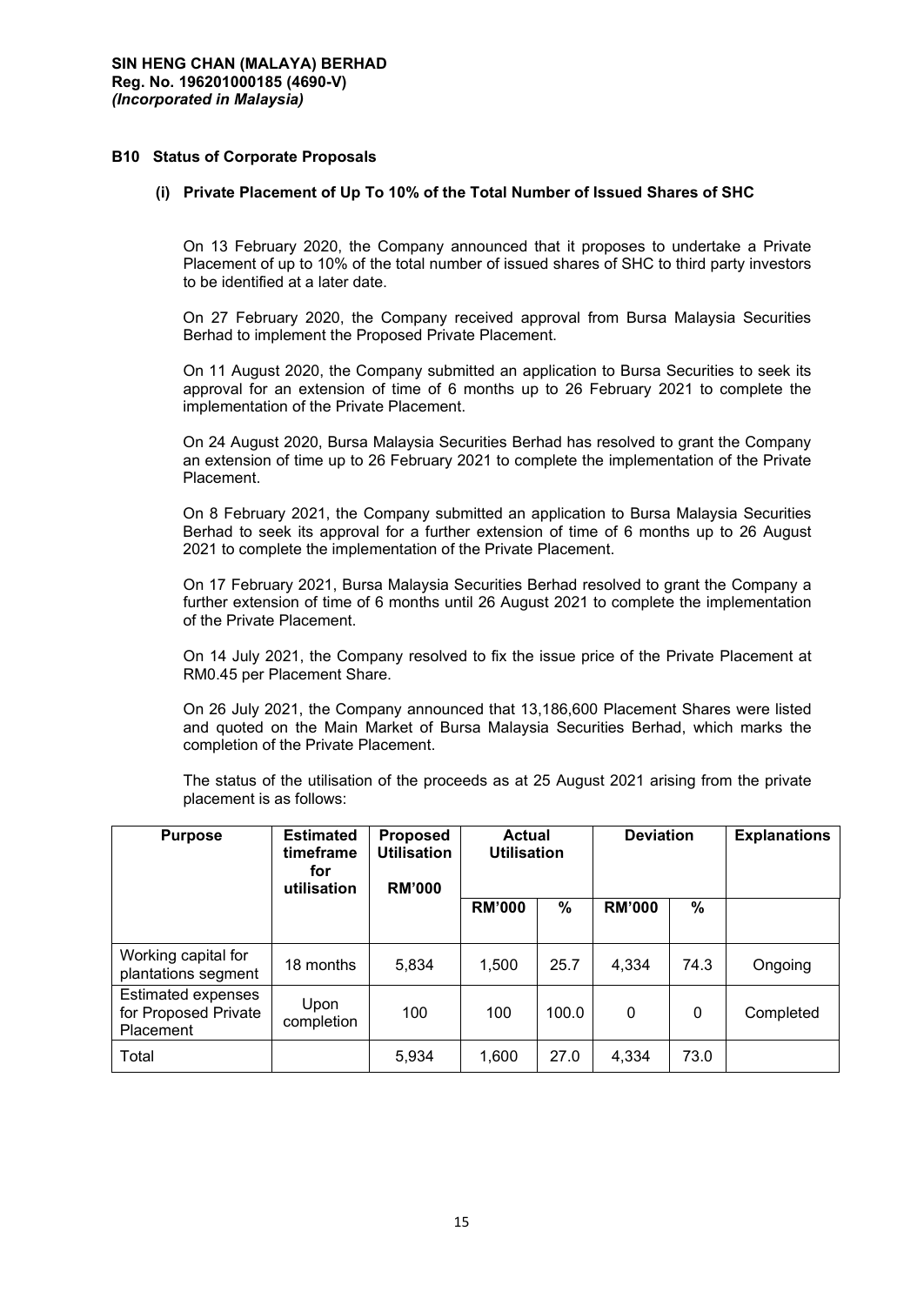## **B10 Status of Corporate Proposals**

## **(i) Private Placement of Up To 10% of the Total Number of Issued Shares of SHC**

On 13 February 2020, the Company announced that it proposes to undertake a Private Placement of up to 10% of the total number of issued shares of SHC to third party investors to be identified at a later date.

On 27 February 2020, the Company received approval from Bursa Malaysia Securities Berhad to implement the Proposed Private Placement.

On 11 August 2020, the Company submitted an application to Bursa Securities to seek its approval for an extension of time of 6 months up to 26 February 2021 to complete the implementation of the Private Placement.

On 24 August 2020, Bursa Malaysia Securities Berhad has resolved to grant the Company an extension of time up to 26 February 2021 to complete the implementation of the Private Placement.

On 8 February 2021, the Company submitted an application to Bursa Malaysia Securities Berhad to seek its approval for a further extension of time of 6 months up to 26 August 2021 to complete the implementation of the Private Placement.

On 17 February 2021, Bursa Malaysia Securities Berhad resolved to grant the Company a further extension of time of 6 months until 26 August 2021 to complete the implementation of the Private Placement.

On 14 July 2021, the Company resolved to fix the issue price of the Private Placement at RM0.45 per Placement Share.

On 26 July 2021, the Company announced that 13,186,600 Placement Shares were listed and quoted on the Main Market of Bursa Malaysia Securities Berhad, which marks the completion of the Private Placement.

The status of the utilisation of the proceeds as at 25 August 2021 arising from the private placement is as follows:

| <b>Purpose</b>                                          | <b>Estimated</b><br>timeframe<br>for<br>utilisation | <b>Proposed</b><br><b>Utilisation</b><br><b>RM'000</b> | <b>Actual</b><br><b>Utilisation</b> |       | <b>Deviation</b> |      | <b>Explanations</b> |
|---------------------------------------------------------|-----------------------------------------------------|--------------------------------------------------------|-------------------------------------|-------|------------------|------|---------------------|
|                                                         |                                                     |                                                        | <b>RM'000</b>                       | %     | <b>RM'000</b>    | $\%$ |                     |
| Working capital for<br>plantations segment              | 18 months                                           | 5,834                                                  | 1,500                               | 25.7  | 4,334            | 74.3 | Ongoing             |
| Estimated expenses<br>for Proposed Private<br>Placement | Upon<br>completion                                  | 100                                                    | 100                                 | 100.0 | $\Omega$         | 0    | Completed           |
| Total                                                   |                                                     | 5,934                                                  | 1,600                               | 27.0  | 4,334            | 73.0 |                     |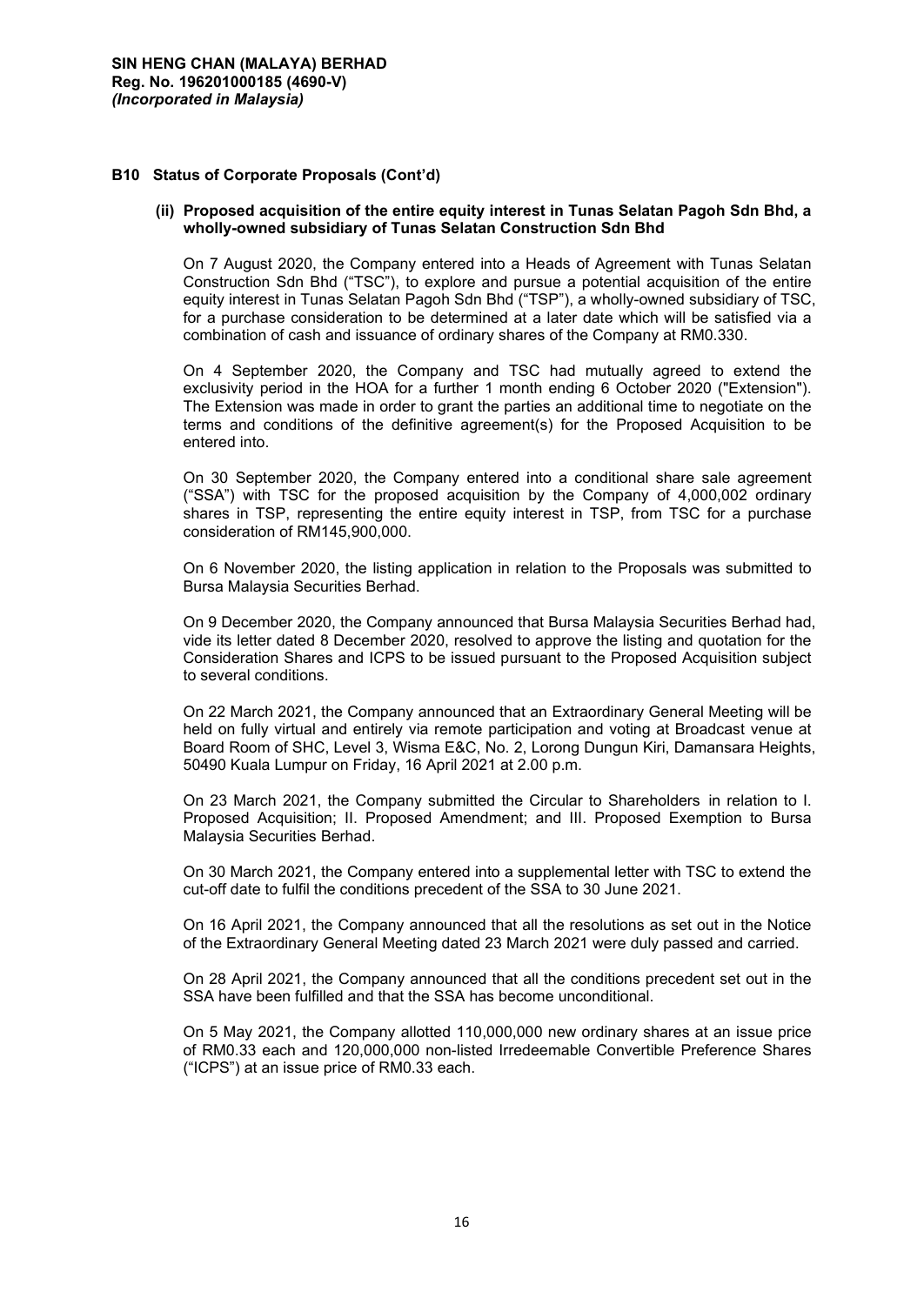## **B10 Status of Corporate Proposals (Cont'd)**

#### **(ii) Proposed acquisition of the entire equity interest in Tunas Selatan Pagoh Sdn Bhd, a wholly-owned subsidiary of Tunas Selatan Construction Sdn Bhd**

On 7 August 2020, the Company entered into a Heads of Agreement with Tunas Selatan Construction Sdn Bhd ("TSC"), to explore and pursue a potential acquisition of the entire equity interest in Tunas Selatan Pagoh Sdn Bhd ("TSP"), a wholly-owned subsidiary of TSC, for a purchase consideration to be determined at a later date which will be satisfied via a combination of cash and issuance of ordinary shares of the Company at RM0.330.

On 4 September 2020, the Company and TSC had mutually agreed to extend the exclusivity period in the HOA for a further 1 month ending 6 October 2020 ("Extension"). The Extension was made in order to grant the parties an additional time to negotiate on the terms and conditions of the definitive agreement(s) for the Proposed Acquisition to be entered into.

On 30 September 2020, the Company entered into a conditional share sale agreement ("SSA") with TSC for the proposed acquisition by the Company of 4,000,002 ordinary shares in TSP, representing the entire equity interest in TSP, from TSC for a purchase consideration of RM145,900,000.

On 6 November 2020, the listing application in relation to the Proposals was submitted to Bursa Malaysia Securities Berhad.

On 9 December 2020, the Company announced that Bursa Malaysia Securities Berhad had, vide its letter dated 8 December 2020, resolved to approve the listing and quotation for the Consideration Shares and ICPS to be issued pursuant to the Proposed Acquisition subject to several conditions.

On 22 March 2021, the Company announced that an Extraordinary General Meeting will be held on fully virtual and entirely via remote participation and voting at Broadcast venue at Board Room of SHC, Level 3, Wisma E&C, No. 2, Lorong Dungun Kiri, Damansara Heights, 50490 Kuala Lumpur on Friday, 16 April 2021 at 2.00 p.m.

On 23 March 2021, the Company submitted the Circular to Shareholders in relation to I. Proposed Acquisition; II. Proposed Amendment; and III. Proposed Exemption to Bursa Malaysia Securities Berhad.

On 30 March 2021, the Company entered into a supplemental letter with TSC to extend the cut-off date to fulfil the conditions precedent of the SSA to 30 June 2021.

On 16 April 2021, the Company announced that all the resolutions as set out in the Notice of the Extraordinary General Meeting dated 23 March 2021 were duly passed and carried.

On 28 April 2021, the Company announced that all the conditions precedent set out in the SSA have been fulfilled and that the SSA has become unconditional.

On 5 May 2021, the Company allotted 110,000,000 new ordinary shares at an issue price of RM0.33 each and 120,000,000 non-listed Irredeemable Convertible Preference Shares ("ICPS") at an issue price of RM0.33 each.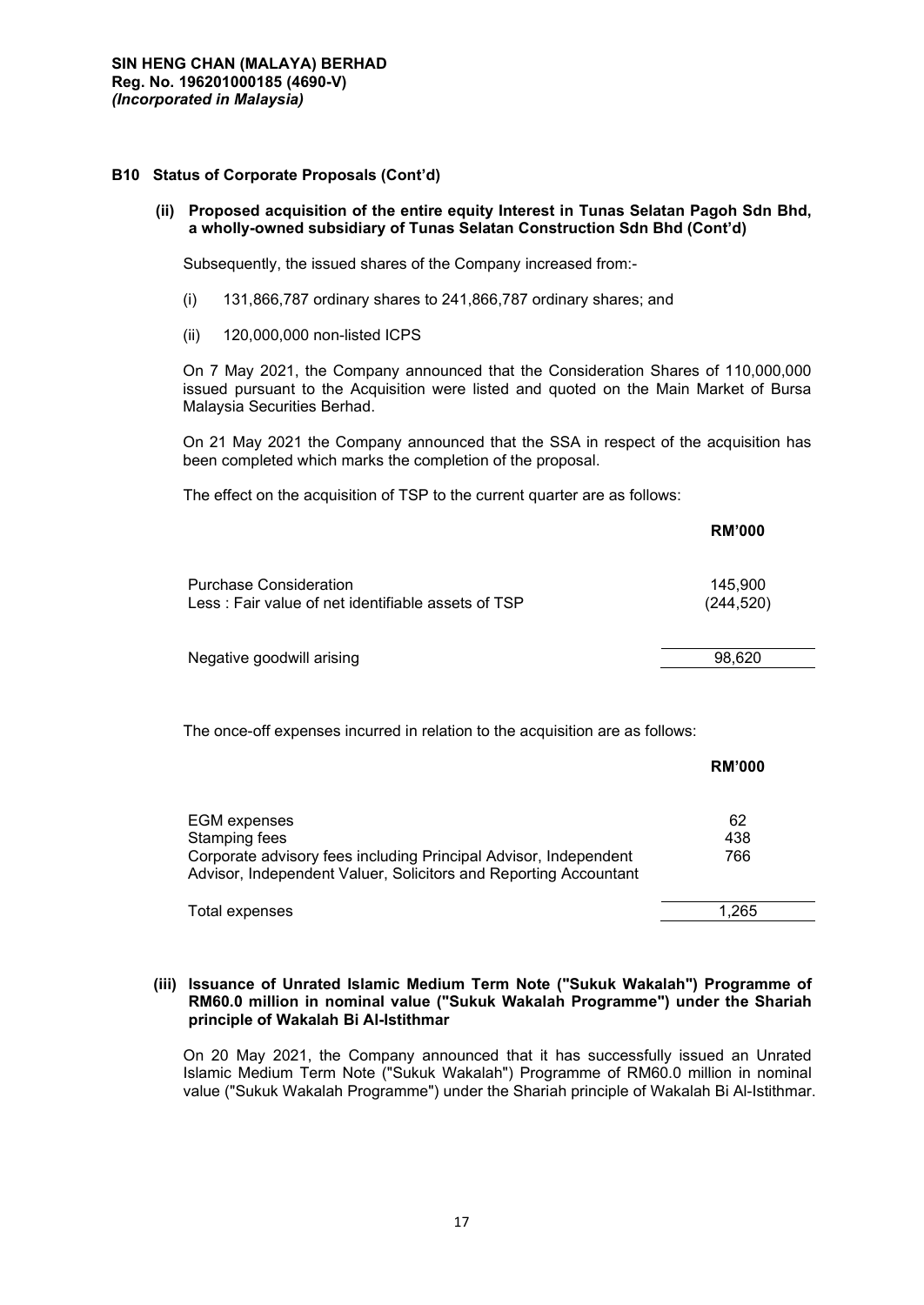## **B10 Status of Corporate Proposals (Cont'd)**

## **(ii) Proposed acquisition of the entire equity Interest in Tunas Selatan Pagoh Sdn Bhd, a wholly-owned subsidiary of Tunas Selatan Construction Sdn Bhd (Cont'd)**

Subsequently, the issued shares of the Company increased from:-

- (i) 131,866,787 ordinary shares to 241,866,787 ordinary shares; and
- (ii) 120,000,000 non-listed ICPS

On 7 May 2021, the Company announced that the Consideration Shares of 110,000,000 issued pursuant to the Acquisition were listed and quoted on the Main Market of Bursa Malaysia Securities Berhad.

On 21 May 2021 the Company announced that the SSA in respect of the acquisition has been completed which marks the completion of the proposal.

The effect on the acquisition of TSP to the current quarter are as follows:

|                                                                                     | <b>RM'000</b>         |
|-------------------------------------------------------------------------------------|-----------------------|
| <b>Purchase Consideration</b><br>Less: Fair value of net identifiable assets of TSP | 145,900<br>(244, 520) |
| Negative goodwill arising                                                           | 98,620                |

The once-off expenses incurred in relation to the acquisition are as follows:

|                                                                                                                                      | <b>RM'000</b> |
|--------------------------------------------------------------------------------------------------------------------------------------|---------------|
| <b>EGM</b> expenses<br>Stamping fees                                                                                                 | 62<br>438     |
| Corporate advisory fees including Principal Advisor, Independent<br>Advisor, Independent Valuer, Solicitors and Reporting Accountant | 766           |
| Total expenses                                                                                                                       | .265          |

## **(iii) Issuance of Unrated Islamic Medium Term Note ("Sukuk Wakalah") Programme of RM60.0 million in nominal value ("Sukuk Wakalah Programme") under the Shariah principle of Wakalah Bi Al-Istithmar**

On 20 May 2021, the Company announced that it has successfully issued an Unrated Islamic Medium Term Note ("Sukuk Wakalah") Programme of RM60.0 million in nominal value ("Sukuk Wakalah Programme") under the Shariah principle of Wakalah Bi Al-Istithmar.